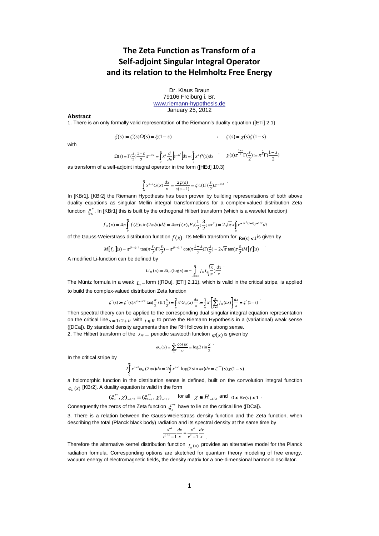# **The Zeta Function as Transform of a Self-adjoint Singular Integral Operator and its relation to the Helmholtz Free Energy**

Dr. Klaus Braun 79106 Freiburg i. Br. [www.riemann-hypothesis.de](http://www.riemann-hypothesis.de/) January 25, 2012

#### **Abstract**

1. There is an only formally valid representation of the Riemann's duality equation ([ETi] 2.1)

$$
\xi(s) := \zeta(s)\Omega(s) = \xi(1-s) \qquad , \qquad \zeta(s) = \chi(s)\zeta(1-s)
$$

with

$$
\Omega(s) = \Gamma(\frac{s}{2}) \frac{1-s}{2} \pi^{-s/2} = \int_0^\infty x^s \frac{d}{dx} \left[ e^{-\pi s^2} \right] dx = \int_0^\infty x^s f'(x) dx \qquad \chi(s) \pi^{\frac{1-s}{2}} \Gamma(\frac{s}{2}) = \pi^{\frac{s}{2}} \Gamma(\frac{1-s}{2})
$$

.

.

.

.

as transform of a self-adjoint integral operator in the form ([HEd] 10.3)

$$
\int_{0}^{\infty} x^{1-s} G(x) \frac{dx}{x} = \frac{2\xi(s)}{s(s-1)} = \zeta(s) \Gamma(\frac{s}{2}) \pi^{-s/2}
$$

In [KBr1], [KBr2] the Riemann Hypothesis has been proven by building representations of both above duality equations as singular Mellin integral transformations for a complex-valued distribution Zeta function \* *s* . In [KBr1] this is built by the orthogonal Hilbert transform (which is a wavelet function)

[KBr1] this is built by the orthogonal Hilbert transform (which is a wavelet  

$$
f_H(x) = 4\pi \int_0^{\pi} f(\xi) \sin(2\pi \xi x) d\xi = 4\pi f(x) F_1(\frac{1}{2}; \frac{3}{2}; \pi x^2) = 2\sqrt{\pi} x \int_0^1 e^{-\pi x^2(1-t)} t^{-1/2} dt
$$

of the Gauss-Weierstrass distribution function  $f(x)$  . Its Mellin transform for  $_{\text{Re}(s) < 1}$  is given by

$$
M[f_H](s) = \pi^{(1-s)/2} \tan(\pi \frac{s}{2}) \Gamma(\frac{s}{2}) = \pi^{(1-s)/2} \cot(\pi \frac{1-s}{2}) \Gamma(\frac{s}{2}) = 2\sqrt{\pi} \tan(\pi \frac{s}{2}) M[f](s)
$$

A modified Li-function can be defined by

$$
Li_H(x) = Ei_H(\log x) = -\int_{-\log x}^{\infty} f_H(\sqrt{\frac{x}{\pi}}) \frac{dx}{x}
$$

The Müntz formula in a weak <sub>L<sub>2</sub> – form ([RDu], [ETi] 2.11), which is valid in the critical stripe, is applied</sub> to build the complex-valued distribution Zeta function

$$
\xi^*(s) := \zeta^*(s) \pi^{(1-s)/2} \tan(\frac{\pi}{2}s) \Gamma(\frac{s}{2}) = \int_0^\infty x^s G_H(x) \frac{dx}{x} = \int_0^\infty x^s \left[ \sum_{n=1}^\infty f_H(nx) \right] \frac{dx}{x} = \xi^*(1-s)
$$

Then spectral theory can be applied to the corresponding dual singular integral equation representation on the critical line  $s = 1/2 + it$  with  $t \in R$  to prove the Riemann Hypothesis in a (variational) weak sense ([DCa]). By standard density arguments then the RH follows in a strong sense.

2. The Hilbert transform of the  $2\pi$  – periodic sawtooth function  $\,\varphi\hskip-2.4pt(x)$  is given by

$$
\varphi_H(x) = \sum_{1}^{\infty} \frac{\cos \nu x}{\nu} = \log 2 \sin \frac{x}{2}
$$

In the critical stripe by

$$
2\int_{0}^{\infty} x^{s-1} \varphi_{H}(2\pi x) dx = 2\oint x^{s-1} \log(2\sin \pi x) dx = \zeta^{**}(s) \chi(1-s)
$$

a holomorphic function in the distribution sense is defined, built on the convolution integral function  $\varphi_{H}(x)$  [KBr2]. A duality equation is valid in the form

 $(\xi_s^{**}, \chi)_{-1/2} = (\xi_{1-s}^{**}, \chi)_{-1/2}$  for all  $\chi \in H_{-1/2}$  and  $0 < \text{Re}(s) < 1$ 

Consequently the zeros of the Zeta function  $\zeta_s^{**}$  have to lie on the critical line ([DCa]).

3. There is a relation between the Gauss-Weierstrass density function and the Zeta function, when describing the total (Planck black body) radiation and its spectral density at the same time by

$$
\frac{x^{-4}}{e^{1/x} - 1} \frac{dx}{x} = \frac{x^4}{e^x - 1} \frac{dx}{x}
$$

.

Therefore the alternative kernel distribution function  $f_{H}(x)$  provides an alternative model for the Planck radiation formula. Corresponding options are sketched for quantum theory modeling of free energy, vacuum energy of electromagnetic fields, the density matrix for a one-dimensional harmonic oscillator.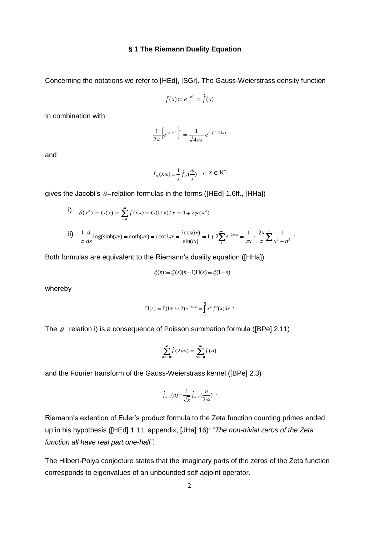### **§ 1 The Riemann Duality Equation**

Concerning the notations we refer to [HEd], [SGr]. The Gauss-Weierstrass density function

$$
f(x) \coloneqq e^{-\pi x^2} = \hat{f}(x)
$$

In combination with

$$
\frac{1}{2\pi} \left[ e^{-\varepsilon |x|^2} \right]^2 = \frac{1}{\sqrt{4\pi \varepsilon}} e^{-|\xi|^2/(4\varepsilon)}
$$

and

$$
\hat{f}_H(x\omega) = \frac{1}{x}\hat{f}_H(\frac{\omega}{x}) \quad , \quad x \in R^+
$$

gives the Jacobi's  $\hat{y}$  - relation formulas in the forms ([HEd] 1.6ff., [HHa])

i) 
$$
g(x^2) = G(x) = \sum_{-\infty}^{\infty} f(nx) = G(1/x)/x =: 1 + 2\psi(x^2)
$$
  
\nii)  $\frac{1}{\pi} \frac{d}{dx} \log(\sinh(\pi x)) = \coth(\pi x) = i \cot \pi x = \frac{i \cos(ix)}{\sin(ix)} = 1 + 2 \sum_{n=1}^{\infty} e^{-2\pi nx} = \frac{1}{\pi x} + \frac{2x}{\pi} \sum_{n=1}^{\infty} \frac{1}{x^2 + n^2}$ 

Both formulas are equivalent to the Riemann's duality equation ([HHa])

$$
\xi(s) := \zeta(s)(s-1)\Pi(s) = \xi(1-s)
$$

whereby

$$
\Pi(s) := \Gamma(1 + s/2)\pi^{-s/2} = \int_{0}^{\infty} x^{s} f'(x) dx
$$

The  $\beta$ -relation i) is a consequence of Poisson summation formula ([BPe] 2.11)

$$
\sum_{n=-\infty}^{\infty} \hat{f}(2\pi n) = \sum_{n=-\infty}^{\infty} f(n)
$$

and the Fourier transform of the Gauss-Weierstrass kernel ([BPe] 2.3)

$$
\hat{f}_{\alpha=x}(n) = \frac{1}{\sqrt{x}} \hat{f}_{\alpha=x}(\frac{n}{2\pi x})
$$

Riemann's extention of Euler's product formula to the Zeta function counting primes ended up in his hypothesis ([HEd] 1.11, appendix, [JHa] 16): "*The non-trivial zeros of the Zeta function all have real part one-half".*

The Hilbert-Polya conjecture states that the imaginary parts of the zeros of the Zeta function corresponds to eigenvalues of an unbounded self adjoint operator.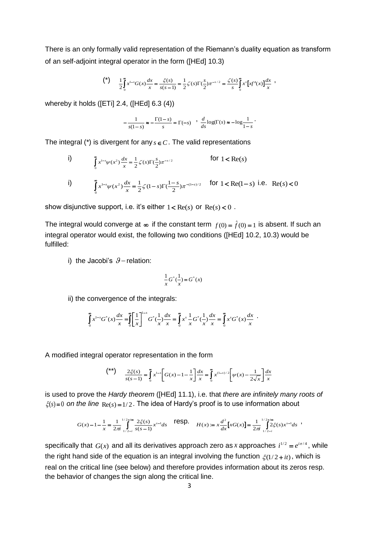There is an only formally valid representation of the Riemann's duality equation as transform of an self-adjoint integral operator in the form ([HEd] 10.3)

$$
\binom{*}{\ } \quad \frac{1}{2} \int_0^{\infty} x^{1-s} G(x) \frac{dx}{x} = \frac{\xi(s)}{s(s-1)} = \frac{1}{2} \zeta(s) \Gamma(\frac{s}{2}) \pi^{-s/2} = \frac{\zeta(s)}{s} \int_0^{\infty} x^s \left[ x f'(x) \right] \frac{dx}{x} ,
$$

whereby it holds ([ETi] 2.4, ([HEd] 6.3 (4))

$$
-\frac{1}{s(1-s)} \approx -\frac{\Gamma(1-s)}{s} = \Gamma(-s) \quad , \quad \frac{d}{ds} \log(\Gamma(s) \approx -\log \frac{1}{1-s} \, .
$$

The integral (\*) is divergent for any  $s \in C$ . The valid representations

i)  $\sum_{k=2}^{\infty} dx - 1 \zeta_{\mathcal{C}} \sum_{k=1}^{\infty} (x^2)^{k}$  $\bar{0}$  $e^{1-s}\psi(x^2)\frac{dx}{x} = \frac{1}{2}\zeta(s)\Gamma(\frac{s}{2}).$  $\int_{s}^{s} \psi(x^2) \frac{dx}{x} = \frac{1}{2} \zeta(s) \Gamma(\frac{s}{2}) \pi^{-s}$  $\int_{0}^{\infty} x^{1-s} \psi(x^2) \frac{dx}{x} = \frac{1}{2} \zeta(s) \Gamma(\frac{s}{2}) \pi^{-s}$ for  $1 < Re(s)$ 

i) 
$$
\int_{0}^{\infty} x^{1-s} \psi(x^{2}) \frac{dx}{x} = \frac{1}{2} \zeta(1-s) \Gamma(\frac{1-s}{2}) \pi^{-(1-s)/2} \quad \text{for } 1 < \text{Re}(1-s) \text{ i.e. } \text{Re}(s) < 0
$$

show disjunctive support, i.e. it's either  $1 < Re(s)$  or  $Re(s) < 0$ .

The integral would converge at  $\infty$  if the constant term  $f(0) = \hat{f}(0) = 1$  is absent. If such an integral operator would exist, the following two conditions ([HEd] 10.2, 10.3) would be fulfilled:

i) the Jacobi's  $\mathcal{G}-$  relation:

$$
\frac{1}{x}G^{*}(\frac{1}{x}) = G^{*}(x)
$$

ii) the convergence of the integrals:

$$
\int_{0}^{\infty} x^{1-s} G^{*}(x) \frac{dx}{x} = \int_{0}^{\infty} \left[ \frac{1}{x} \right]_{0}^{1-s} G^{*}(\frac{1}{x}) \frac{dx}{x} = \int_{0}^{\infty} x^{s} \frac{1}{x} G^{*}(\frac{1}{x}) \frac{dx}{x} = \int_{0}^{\infty} x^{s} G^{*}(x) \frac{dx}{x}.
$$

A modified integral operator representation in the form

$$
\binom{**}{x} \qquad \frac{2\xi(s)}{s(s-1)} = \int_0^\infty x^{1-s} \left[ G(x) - 1 - \frac{1}{x} \right] \frac{dx}{x} = \int_0^\infty x^{(1-s)/2} \left[ \psi(x) - \frac{1}{2\sqrt{x}} \right] \frac{dx}{x}
$$

is used to prove the *Hardy theorem* ([HEd] 11.1), i.e. that *there are infinitely many roots of*   $\xi(s)$  = 0 on the line  $\text{Re}(s)$  = 1/2. The idea of Hardy's proof is to use information about

$$
G(x) - 1 - \frac{1}{x} = \frac{1}{2\pi i} \int_{1/2-i}^{1/2+i\infty} \frac{2\xi(s)}{s(s-1)} x^{s-1} ds \qquad \text{resp.} \qquad H(x) := x \frac{d^2}{dx} \Big[ xG(x) \Big] = \frac{1}{2\pi i} \int_{1/2-i}^{1/2+i\infty} 2\xi(s) x^{s-1} ds
$$

specifically that  $G(x)$  and all its derivatives approach zero as x approaches  $i^{1/2} = e^{i\pi/4}$ , while the right hand side of the equation is an integral involving the function  $\zeta(1/2 + it)$ , which is real on the critical line (see below) and therefore provides information about its zeros resp. the behavior of changes the sign along the critical line.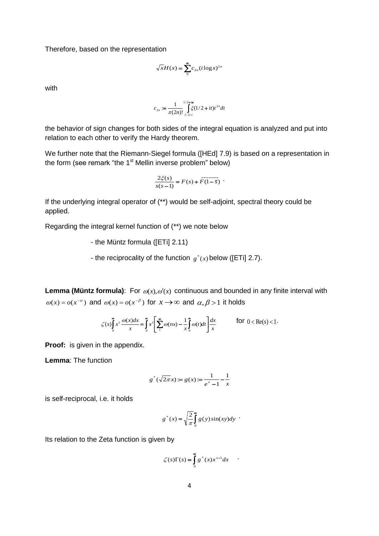Therefore, based on the representation

$$
\sqrt{x}H(x) = \sum_{0}^{\infty} c_{2n} (i \log x)^{2n}
$$

with

$$
c_{2n} := \frac{1}{\pi(2n)!} \int_{1/2-i}^{1/2+i\infty} \xi(1/2+it)t^{2n} dt
$$

the behavior of sign changes for both sides of the integral equation is analyzed and put into relation to each other to verify the Hardy theorem.

We further note that the Riemann-Siegel formula ([HEd] 7.9) is based on a representation in the form (see remark "the  $1<sup>st</sup>$  Mellin inverse problem" below)

$$
\frac{2\xi(s)}{s(s-1)} = F(s) + \overline{F(1-\bar{s})}
$$

If the underlying integral operator of (\*\*) would be self-adjoint, spectral theory could be applied.

Regarding the integral kernel function of (\*\*) we note below

- the Müntz formula ([ETi] 2.11)

- the reciprocality of the function  $g^*(x)$  below ([ETi] 2.7).

**Lemma (Müntz formula)**: For  $\omega(x), \omega'(x)$  continuous and bounded in any finite interval with  $\omega(x) = o(x^{-\alpha})$  and  $\omega(x) = o(x^{-\beta})$  for  $x \to \infty$  and  $\alpha, \beta > 1$  it holds

$$
\zeta(s) \int_0^\infty x^s \, \frac{\omega(x) dx}{x} = \int_0^\infty x^s \left[ \sum_1^\infty \omega(nx) - \frac{1}{x} \int_0^\infty \omega(t) dt \right] \frac{dx}{x}
$$
 for  $0 < \text{Re}(s) < 1$ .

**Proof:** is given in the appendix.

**Lemma**: The function

$$
g^*(\sqrt{2\pi}x) := g(x) := \frac{1}{e^x - 1} - \frac{1}{x}
$$

is self-reciprocal, i.e. it holds

$$
g^*(x) = \sqrt{\frac{2}{\pi}} \int_0^\infty g(y) \sin(xy) dy
$$
.

Its relation to the Zeta function is given by

$$
\zeta(s)\Gamma(s) = \int_{0}^{\infty} g^*(x) x^{s-1} dx
$$

.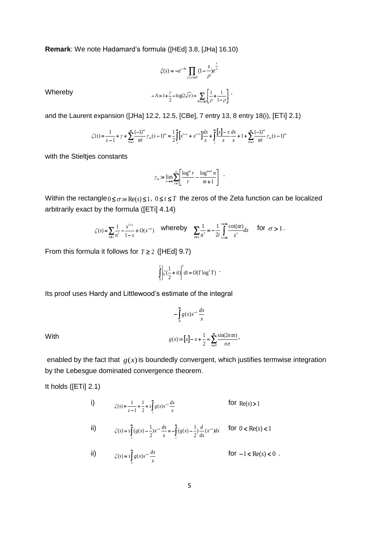**Remark**: We note Hadamard's formula ([HEd] 3.8, [JHa] 16.10)

$$
\zeta(s) = -e^{-As} \prod_{\zeta(\rho)=0} (1 - \frac{s}{\rho}) e^{\frac{s}{\rho}}
$$

$$
-A = 1 + \frac{\gamma}{2} - \log(2\sqrt{\pi}) = \sum_{\ln(\rho) \ge 0} \left[ \frac{1}{\rho} + \frac{1}{1-\rho} \right].
$$

Whereby **the contract of the contract of the contract of the contract of the contract of the contract of the contract of the contract of the contract of the contract of the contract of the contract of the contract of the c** 

and the Laurent expansion ([JHa] 12.2, 12.5, [CBe], 7 entry 13, 8 entry 18(i), [ETi] 2.1)

it expansion ([JHa] 12.2, 12.5, [CBe], 7 entry 13, 8 entry 18(i), [ETi]  
\n
$$
\zeta(s) = \frac{1}{s-1} + \gamma + \sum_{m=1}^{\infty} \frac{(-1)^m}{m!} \gamma_m(s-1)^m = \frac{1}{2} \int_1^{\infty} \left[x^{1-s} + x^{s-1}\right] \frac{dx}{x} + \int_1^{\infty} \frac{\left[x\right] - x}{x} \frac{dx}{x} + 1 + \sum_{m=1}^{\infty} \frac{(-1)^m}{m!} \gamma_m(s-1)^m
$$

with the Stieltjes constants

$$
\gamma_m := \lim_{n \to \infty} \sum_{r=1}^n \left[ \frac{\log^m r}{r} - \frac{\log^{m+1} n}{m+1} \right] .
$$

Within the rectangle  $0 \leq \sigma = \text{Re}(s) \leq 1$ ,  $0 \leq t \leq T$  the zeros of the Zeta function can be localized arbitrarily exact by the formula ([ETi] 4.14)

$$
\zeta(s) = \sum_{n \le x} \frac{1}{n^s} - \frac{x^{1-s}}{1-s} + O(x^{-\sigma}) \quad \text{whereby} \quad \sum_{n > x} \frac{1}{n^s} = -\frac{1}{2i} \int_{x-\infty}^{x+\infty} \frac{\cot(\pi z)}{z^s} dz \quad \text{for } \sigma > 1 \, .
$$

From this formula it follows for  $T \geq 2$  ([HEd] 9.7)

$$
\int_{0}^{T} \left| \zeta(\frac{1}{2} + it) \right|^2 dt = O(T \log^2 T) \quad .
$$

Its proof uses Hardy and Littlewood's estimate of the integral

$$
-\int_{N}^{\infty} g(x)x^{-s}\frac{dx}{x}
$$
  
With 
$$
g(x) = [x] - x + \frac{1}{2} = \sum_{n=0}^{\infty} \frac{\sin(2n\pi x)}{n\pi},
$$

enabled by the fact that  $g(x)$  is boundedly convergent, which justifies termwise integration by the Lebesgue dominated convergence theorem.

It holds ([ETi] 2.1)

i) 
$$
\zeta(s) = \frac{1}{s-1} + \frac{1}{2} + s \int_{1}^{\infty} g(x) x^{-s} \frac{dx}{x}
$$
 for Re(s) > 1  
\nii) 
$$
\zeta(s) = s \int_{1}^{\infty} (g(x) - \frac{1}{2}) x^{-s} \frac{dx}{x} = - \int_{1}^{\infty} (g(x) - \frac{1}{2}) \frac{d}{dx} (x^{-s}) dx
$$
 for  $0 < \text{Re}(s) < 1$   
\niii) for  $1 < \text{Re}(s) < 0$ 

ii) 
$$
\zeta(s) = s \int_0^\infty g(x) x^{-s} \frac{dx}{x}
$$
 for  $-1 < \text{Re}(s) < 0$ .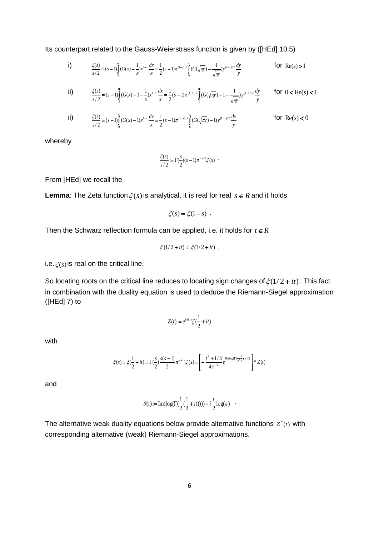Its counterpart related to the Gauss-Weierstrass function is given by ([HEd] 10.5)

i) 
$$
\frac{\xi(s)}{s/2} = (s-1)\int_{0}^{\infty} (G(x) - \frac{1}{x})x^{1-s} \frac{dx}{x} = \frac{1}{2}(s-1)\pi^{(1-s)/2} \int_{0}^{\infty} (G(\sqrt{\pi y}) - \frac{1}{\sqrt{\pi y}})y^{(1-s)/2} \frac{dy}{y}
$$
 for Re(s) > 1

ii) 
$$
\frac{\xi(s)}{s/2} = (s-1)\int_{0}^{\infty} (G(x) - 1 - \frac{1}{x})x^{1-s} \frac{dx}{x} = \frac{1}{2}(s-1)\pi^{(1-s)/2} \int_{0}^{\infty} (G(\sqrt{\pi y}) - 1 - \frac{1}{\sqrt{\pi y}})y^{(1-s)/2} \frac{dy}{y}
$$
 for  $0 < \text{Re}(s) < 1$ 

ii) 
$$
\frac{\xi(s)}{s/2} = (s-1)\int_{0}^{\infty} (G(x)-1)x^{1-s} \frac{dx}{x} = \frac{1}{2}(s-1)\pi^{(1-s)/2} \int_{0}^{\infty} (G(\sqrt{\pi y})-1)y^{(1-s)/2} \frac{dy}{y}
$$
 for Re(s) < 0

whereby

$$
\frac{\xi(s)}{s/2} := \Gamma(\frac{s}{2})(s-1)\pi^{-s/2}\zeta(s) .
$$

From [HEd] we recall the

**Lemma**: The Zeta function  $\xi(s)$  is analytical, it is real for real  $s \in R$  and it holds

$$
\xi(s) = \xi(1-s) .
$$

Then the Schwarz reflection formula can be applied, i.e. it holds for  $t \in R$ 

$$
\bar{\xi}(1/2 + it) = \xi(1/2 + it) ,
$$

i.e.  $\xi(s)$  is real on the critical line.

So locating roots on the critical line reduces to locating sign changes of  $\xi(1/2 + it)$ . This fact in combination with the duality equation is used to deduce the Riemann-Siegel approximation ([HEd] 7) to

$$
Z(t)\coloneqq e^{i\theta(t)}\zeta(\frac{1}{2}+it)
$$

with

$$
\xi(s) = \xi(\frac{1}{2} + it) = \Gamma(\frac{s}{2})\frac{s(s-1)}{2}\pi^{-s/2}\zeta(s) = \left[-\frac{t^2 + 1/4}{4\pi^{1/4}}e^{\Re{\rm{clog}}(\Gamma(\frac{1}{2}(\frac{1}{2}+it)))} \right] * Z(t)
$$

and

$$
\mathcal{G}(t):=\text{Im}(\log(\Gamma(\frac{1}{2}(\frac{1}{2}+it))))-i\frac{t}{2}\log(\pi)-
$$

The alternative weak duality equations below provide alternative functions  $z^*(t)$  with corresponding alternative (weak) Riemann-Siegel approximations.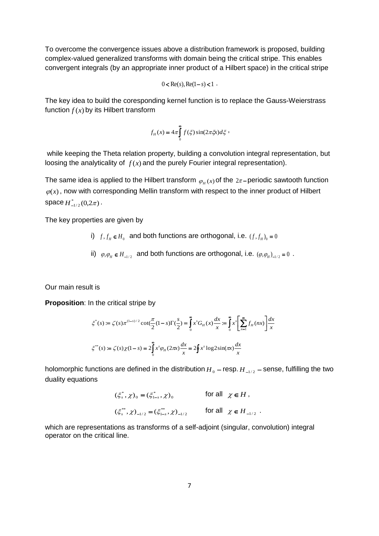To overcome the convergence issues above a distribution framework is proposed, building complex-valued generalized transforms with domain being the critical stripe. This enables convergent integrals (by an appropriate inner product of a Hilbert space) in the critical stripe

 $0 < \text{Re}(s)$ ,  $\text{Re}(1-s) < 1$ .

The key idea to build the coresponding kernel function is to replace the Gauss-Weierstrass function  $f(x)$  by its Hilbert transform

$$
f_H(x) = 4\pi \int_0^{\infty} f(\xi) \sin(2\pi \xi x) d\xi ,
$$

while keeping the Theta relation property, building a convolution integral representation, but loosing the analyticality of  $f(x)$  and the purely Fourier integral representation).

The same idea is applied to the Hilbert transform  $\varphi_{\scriptscriptstyle H}(x)$  of the  $2\pi$ –periodic sawtooth function  $\varphi(x)$ , now with corresponding Mellin transform with respect to the inner product of Hilbert  $space H^*_{-1/2}(0, 2\pi)$ .

The key properties are given by

- i)  $f, f_H \in H_0$  and both functions are orthogonal, i.e.  $(f, f_H)_0 = 0$
- ii)  $\varphi, \varphi_H \in H_{-1/2}$  and both functions are orthogonal, i.e.  $(\varphi, \varphi_H)_{-1/2} = 0$ .

Our main result is

**Proposition:** In the critical stripe by

$$
\xi^*(s) := \zeta(s)\pi^{(1-s)/2} \cot(\frac{\pi}{2}(1-s)\Gamma(\frac{s}{2})) = \int_0^{\infty} x^s G_H(x) \frac{dx}{x} = \int_0^{\infty} x^s \left[ \sum_{n=1}^{\infty} f_H(nx) \right] \frac{dx}{x}
$$
  

$$
\xi^{**}(s) := \zeta(s)\chi(1-s) = 2\int_0^{\infty} x^s \varphi_H(2\pi x) \frac{dx}{x} = 2\oint x^s \log 2\sin(\pi x) \frac{dx}{x}
$$

holomorphic functions are defined in the distribution  $H_{\,0}$  – resp.  $H_{\,-1/2}$  – sense, fulfilling the two duality equations

$$
(\xi_s^*, \chi)_0 = (\xi_{1-s}^*, \chi)_0 \qquad \text{for all } \chi \in H,
$$
  

$$
(\xi_s^{**}, \chi)_{-1/2} = (\xi_{1-s}^{**}, \chi)_{-1/2} \qquad \text{for all } \chi \in H_{-1/2}.
$$

which are representations as transforms of a self-adjoint (singular, convolution) integral operator on the critical line.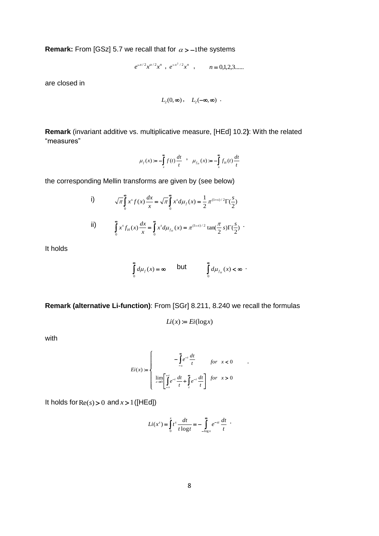**Remark:** From [GSz] 5.7 we recall that for  $\alpha$  >  $-1$ the systems

$$
e^{-x/2}x^{\alpha/2}x^n
$$
,  $e^{-x^2/2}x^n$ ,  $n = 0,1,2,3,...$ 

are closed in

$$
L_2(0,\infty)\,,\quad L_2(-\infty,\infty)\ .
$$

**Remark** (invariant additive vs. multiplicative measure, [HEd] 10.2**)**: With the related "measures"

$$
\mu_f(x) := -\int_x^{\infty} f(t) \frac{dt}{t}, \quad \mu_{f_H}(x) := -\int_x^{\infty} f_H(t) \frac{dt}{t}
$$

the corresponding Mellin transforms are given by (see below)

i)  
\n
$$
\sqrt{\pi} \int_{0}^{\infty} x^{s} f(x) \frac{dx}{x} = \sqrt{\pi} \int_{0}^{\infty} x^{s} d\mu_{f}(x) = \frac{1}{2} \pi^{(1-s)/2} \Gamma(\frac{s}{2})
$$
\nii)  
\n
$$
\int_{0}^{\infty} x^{s} f_{H}(x) \frac{dx}{x} = \int_{0}^{\infty} x^{s} d\mu_{f_{H}}(x) = \pi^{(1-s)/2} \tan(\frac{\pi}{2} s) \Gamma(\frac{s}{2})
$$

It holds

$$
\int_{0}^{\infty} d\mu_f(x) = \infty \quad \text{but} \quad \int_{0}^{\infty} d\mu_{f_H}(x) < \infty \; .
$$

**Remark (alternative Li-function)**: From [SGr] 8.211, 8.240 we recall the formulas

$$
Li(x) := Ei(\log x)
$$

with

$$
Ei(x) := \begin{cases} -\int_{-x}^{\infty} e^{-t} \frac{dt}{t} & \text{for } x < 0\\ \lim_{\varepsilon \to 0} \left[ \int_{-x}^{\varepsilon} e^{-t} \frac{dt}{t} + \int_{\varepsilon}^{\infty} e^{-t} \frac{dt}{t} \right] & \text{for } x > 0 \end{cases}
$$

.

It holds for  $\text{Re}(s) > 0$  and  $x > 1$  ([HEd])

$$
Li(xs) = \int_0^x t^s \frac{dt}{t \log t} = - \int_{-\log x}^\infty e^{-st} \frac{dt}{t} .
$$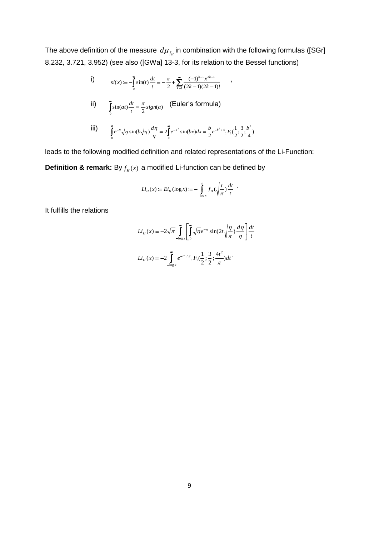The above definition of the measure  $\, d\mu_{f_H}^{}$  in combination with the following formulas ([SGr] 8.232, 3.721, 3.952) (see also ([GWa] 13-3, for its relation to the Bessel functions)

i)  
\n
$$
si(x) := -\int_{x}^{\infty} \sin(t) \frac{dt}{t} = -\frac{\pi}{2} + \sum_{k=1}^{\infty} \frac{(-1)^{k-1} x^{2k-1}}{(2k-1)(2k-1)!}
$$
\nii)  
\n
$$
\int_{0}^{\infty} \sin(at) \frac{dt}{t} = \frac{\pi}{2} sign(a) \quad \text{(Euler's formula)}
$$
\niii)  
\n
$$
\int_{0}^{\infty} e^{-\eta} \sqrt{\eta} \sin(b\sqrt{\eta}) \frac{d\eta}{\eta} = 2\int_{0}^{\infty} e^{-x^2} \sin(bx) dx = \frac{b}{2} e^{-b^2/4} {}_{1}F_{1}(\frac{1}{2}; \frac{3}{2}; \frac{b^2}{4})
$$

leads to the following modified definition and related representations of the Li-Function: **Definition & remark:** By  $f_H(x)$  a modified Li-function can be defined by

$$
Li_{\scriptscriptstyle H}(x) := E i_{\scriptscriptstyle H}(\log x) := - \int\limits_{-\log x}^{\infty} f_{\scriptscriptstyle H}(\sqrt{\frac{t}{\pi}}) \, \frac{dt}{t} \; \cdot \;
$$

It fulfills the relations

$$
Li_{H}(x) = -2\sqrt{\pi} \int_{-\log x}^{\infty} \left[ \int_{0}^{\infty} \sqrt{\eta} e^{-\eta} \sin(2t \sqrt{\frac{\eta}{\pi}}) \frac{d\eta}{\eta} \right] \frac{dt}{t}
$$

$$
Li_{H}(x) = -2 \int_{-\log x}^{\infty} e^{-t^{2}/\pi} {}_{1}F_{1}(\frac{1}{2}; \frac{3}{2}; \frac{4t^{2}}{\pi}) dt
$$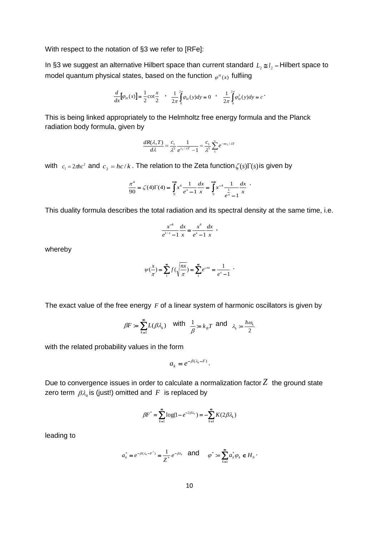With respect to the notation of §3 we refer to [RFe]:

In §3 we suggest an alternative Hilbert space than current standard *L*<sub>2</sub> ≅*l*<sub>2</sub> – Hilbert space to model quantum physical states, based on the function  $\varphi^{\mu}(x)$  fulfiing

$$
\frac{d}{dx}[\varphi_H(x)] = \frac{1}{2}\cot\frac{x}{2} , \frac{1}{2\pi}\int_{0}^{2\pi} \varphi_H(y)dy = 0 , \frac{1}{2\pi}\int_{0}^{2\pi} \varphi_H^2(y)dy = c .
$$

This is being linked appropriately to the Helmholtz free energy formula and the Planck radiation body formula, given by

$$
\frac{dR(\lambda,T)}{d\lambda} = \frac{c_1}{\lambda^5} \frac{1}{e^{c_2/\lambda T} - 1} = \frac{c_1}{\lambda^5} \sum_{1}^{\infty} e^{-nc_2/\lambda T}
$$

with  $c_1 = 2\pi hc^2$  and  $c_2 = hc/k$ . The relation to the Zeta function  $\zeta(s)\Gamma(s)$  is given by

$$
\frac{\pi^4}{90} = \zeta(4)\Gamma(4) = \int_0^{\pi} x^4 \frac{1}{e^x - 1} \frac{dx}{x} = \int_0^{\pi} x^{-4} \frac{1}{e^x - 1} \frac{dx}{x}.
$$

This duality formula describes the total radiation and its spectral density at the same time, i.e.

$$
\frac{x^{-4}}{e^{1/x} - 1} \frac{dx}{x} = \frac{x^4}{e^x - 1} \frac{dx}{x} ,
$$

whereby

$$
\psi(\frac{x}{\pi}) = \sum_{n=1}^{\infty} f(\sqrt{\frac{nx}{\pi}}) = \sum_{n=1}^{\infty} e^{-nx} = \frac{1}{e^x - 1} .
$$

The exact value of the free energy F of a linear system of harmonic oscillators is given by

$$
\beta F := \sum_{k=1}^{\infty} L(\beta \lambda_k) \quad \text{with} \quad \frac{1}{\beta} = k_B T \text{ and } \lambda_k := \frac{\hbar \omega_k}{2}
$$

with the related probability values in the form

$$
a_k = e^{-\beta(\lambda_k - F)}.
$$

Due to convergence issues in order to calculate a normalization factor  $Z$  the ground state zero term  $\,\beta\lambda_{\rm o}$  is (just!) omitted and  $\,F\,$  is replaced by

$$
\beta F^* = \sum_{k=1}^{\infty} \log(1 - e^{-2\beta \lambda_k}) = -\sum_{k=1}^{\infty} K(2\beta \lambda_k)
$$

leading to

$$
a_k^* = e^{-\beta(\lambda_k - F^*)} = \frac{1}{Z^*} e^{-\beta \lambda_k} \quad \text{and} \quad \varphi^* := \sum_{k=1}^\infty a_k^* \varphi_k \in H_0 \, .
$$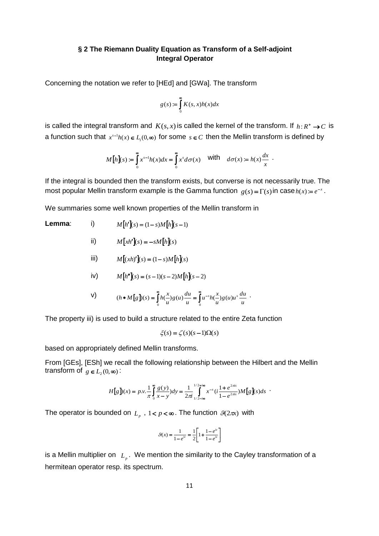# **§ 2 The Riemann Duality Equation as Transform of a Self-adjoint Integral Operator**

Concerning the notation we refer to [HEd] and [GWa]. The transform

$$
g(s) := \int_{0}^{\infty} K(s, x)h(x)dx
$$

is called the integral transform and  $K(s, x)$  is called the kernel of the transform. If  $h: R^+ \rightarrow C$  is a function such that  $x^{s-1}h(x) \in L_1(0,\infty)$  for some  $s \in C$  then the Mellin transform is defined by

$$
M[h](s) := \int_{0}^{\infty} x^{s-1} h(x) dx = \int_{0}^{\infty} x^{s} d\sigma(x) \quad \text{with} \quad d\sigma(x) := h(x) \frac{dx}{x} .
$$

If the integral is bounded then the transform exists, but converse is not necessarily true. The most popular Mellin transform example is the Gamma function  $g(s) = \Gamma(s)$  in case  $h(x) = e^{-x}$ .

We summaries some well known properties of the Mellin transform in

#### **Lemma**: i)  $M[h'](s) = (1 - s)M[h](s - 1)$

ii) 
$$
M[xh'](s) = -sM[h](s)
$$

iii) 
$$
M[(xh)'](s) = (1-s)M[h](s)
$$

iv) 
$$
M[h''](s) = (s-1)(s-2)M[h](s-2)
$$

V) 
$$
(h * M[g](s) = \int_{0}^{\infty} h(\frac{x}{u}) g(u) \frac{du}{u} = \int_{0}^{\infty} u^{-s} h(\frac{x}{u}) g(u) u^{s} \frac{du}{u}.
$$

The property iii) is used to build a structure related to the entire Zeta function

$$
\xi(s) = \zeta(s)(s-1)\Omega(s)
$$

based on appropriately defined Mellin transforms.

From [GEs], [ESh] we recall the following relationship between the Hilbert and the Mellin transform of  $g \in L_2(0, \infty)$ :

$$
H[g](x) = p.v. \frac{1}{\pi} \int_{0}^{\infty} \frac{g(y)}{x - y} dy = \frac{1}{2\pi i} \int_{1/2 - i\infty}^{1/2 + i\infty} x^{-s} \left(i \frac{1 + e^{2\pi i s}}{1 - e^{2\pi i s}}\right) M[g](s) ds
$$

The operator is bounded on  $L_p$  ,  $1 < p < \infty$ . The function  $\mathcal{G}(2\pi x)$  with

$$
\mathcal{G}(x) = \frac{1}{1 - e^{iz}} = \frac{1}{2} \left[ 1 + \frac{1 - e^{iz}}{1 - e^{iz}} \right]
$$

is a Mellin multiplier on  $|_{L_p}$ . We mention the similarity to the Cayley transformation of a hermitean operator resp. its spectrum.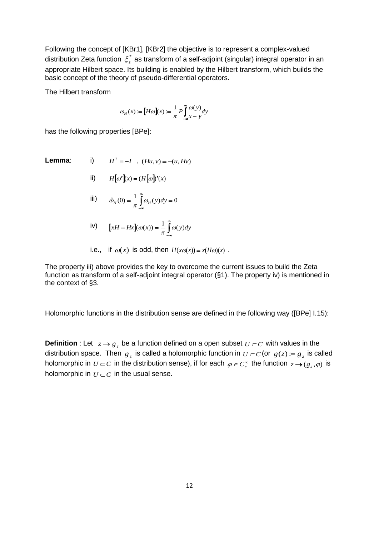Following the concept of [KBr1], [KBr2] the objective is to represent a complex-valued distribution Zeta function  $\zeta^*_s$  as transform of a self-adjoint (singular) integral operator in an appropriate Hilbert space. Its building is enabled by the Hilbert transform, which builds the basic concept of the theory of pseudo-differential operators.

The Hilbert transform

$$
\omega_H(x) := \left[ H\omega \right](x) := \frac{1}{\pi} P \int_{-\infty}^{\infty} \frac{\omega(y)}{x - y} dy
$$

has the following properties [BPe]:

**Lemma:** i) 
$$
H^2 = -I
$$
,  $(Hu, v) = -(u, Hv)$ 

$$
ii) \tH[\omega'](x) = (H[\omega])'(x)
$$

$$
\text{iii)} \qquad \hat{\omega}_H(0) = \frac{1}{\pi} \int_{-\infty}^{\infty} \omega_H(y) dy = 0
$$

$$
iv) \qquad [xH - Hx](\omega(x)) = \frac{1}{\pi} \int_{-\infty}^{\infty} \omega(y) dy
$$

i.e., if 
$$
\omega(x)
$$
 is odd, then  $H(x\omega(x)) = x(H\omega)(x)$ .

The property iii) above provides the key to overcome the current issues to build the Zeta function as transform of a self-adjoint integral operator (§1). The property iv) is mentioned in the context of §3.

Holomorphic functions in the distribution sense are defined in the following way ([BPe] I.15):

**Definition** : Let  $z \rightarrow g_z$  be a function defined on a open subset  $U \subset C$  with values in the distribution space. Then  $g_z$  is called a holomorphic function in  $U\subset C$  (or  $g(z)\coloneqq g_z$  is called holomorphic in  $U\subset C$  in the distribution sense), if for each  $\varphi\in C_c^\infty$  the function  $z\to (g_s,\varphi)$  is holomorphic in  $U\subset C$  in the usual sense.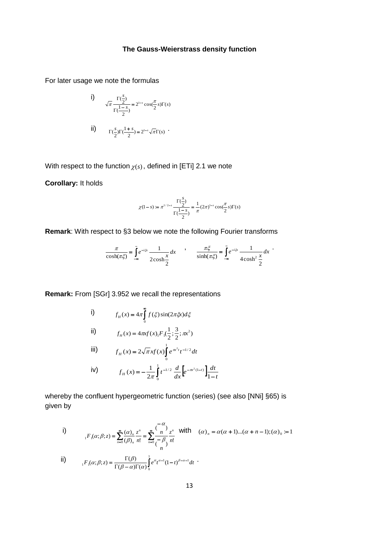# **The Gauss-Weierstrass density function**

For later usage we note the formulas

i)  
\n
$$
\sqrt{\pi} \frac{\Gamma(\frac{s}{2})}{\Gamma(\frac{1-s}{2})} = 2^{1-s} \cos(\frac{\pi}{2} s) \Gamma(s)
$$
\nii)  
\n
$$
\Gamma(\frac{s}{2}) \Gamma(\frac{1+s}{2}) = 2^{1-s} \sqrt{\pi} \Gamma(s)
$$

With respect to the function  $\chi(s)$  , defined in [ETi] 2.1 we note

**Corollary:** It holds

$$
\chi(1-s) := \pi^{1/2-s} \frac{\Gamma(\frac{s}{2})}{\Gamma(\frac{1-s}{2})} = \frac{1}{\pi} (2\pi)^{1-s} \cos(\frac{\pi}{2} s) \Gamma(s)
$$

**Remark**: With respect to §3 below we note the following Fourier transforms

$$
\frac{\pi}{\cosh(\pi\xi)} = \int_{-\infty}^{\infty} e^{-i\xi x} \frac{1}{2\cosh\frac{x}{2}} dx \qquad , \qquad \frac{\pi\xi}{\sinh(\pi\xi)} = \int_{-\infty}^{\infty} e^{-i\xi x} \frac{1}{4\cosh^2\frac{x}{2}} dx
$$

**Remark:** From [SGr] 3.952 we recall the representations

i)  
\n
$$
f_H(x) = 4\pi \int_0^{\infty} f(\xi) \sin(2\pi \xi x) d\xi
$$
\nii)  
\n
$$
f_H(x) = 4\pi x f(x) \Big[ F_1(\frac{1}{2}; \frac{3}{2}; \pi x^2)
$$
\niii)  
\n
$$
f_H(x) = 2\sqrt{\pi} x f(x) \Big]_0^1 e^{\pi x^2 t} t^{-1/2} dt
$$
\niv)  
\n
$$
f_H(x) = -\frac{1}{2\pi} \int_0^1 t^{-1/2} \frac{d}{dx} \Big[ e^{-\pi x^2(1-t)} \Big] \frac{dt}{1-t}
$$

whereby the confluent hypergeometric function (series) (see also [NNi] §65) is given by

0

i)  
\n
$$
{}_{1}F_{1}(\alpha;\beta;z) = \sum_{n=0}^{\infty} \frac{(\alpha)_{n}}{(\beta)_{n}} \frac{z^{n}}{n!} = \sum_{n=0}^{\infty} \frac{(-\alpha)}{(-\beta)} \frac{z^{n}}{n!} \quad \text{with} \quad (\alpha)_{n} = \alpha(\alpha+1)...(\alpha+n-1);(\alpha)_{0} := 1
$$
\n
$$
{}_{1}F_{1}(\alpha;\beta;z) = \frac{\Gamma(\beta)}{\Gamma(\beta-\alpha)\Gamma(\alpha)} \int_{0}^{1} e^{zt}t^{\alpha-1}(1-t)^{\beta-\alpha-1}dt
$$

*t*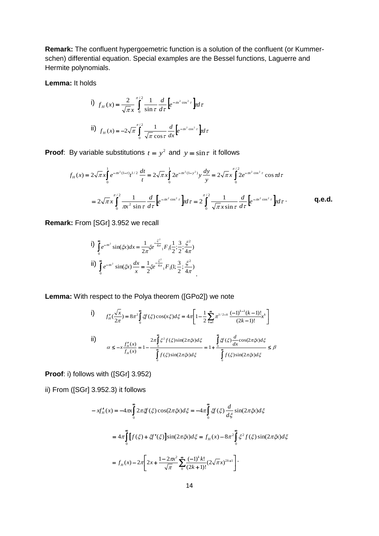**Remark:** The confluent hypergoemetric function is a solution of the confluent (or Kummerschen) differential equation. Special examples are the Bessel functions, Laguerre and Hermite polynomials.

**Lemma:** It holds

i) 
$$
f_H(x) = \frac{2}{\sqrt{\pi}x} \int_0^{\pi/2} \frac{1}{\sin \tau} \frac{d}{d\tau} \left[ e^{-\pi x^2 \cos^2 \tau} \right] d\tau
$$
  
\nii)  $f_H(x) = -2\sqrt{\pi} \int_0^{\pi/2} \frac{1}{\sqrt{\pi} \cos \tau} \frac{d}{dx} \left[ e^{-\pi x^2 \cos^2 \tau} \right] d\tau$ 

**Proof**: By variable substitutions  $t = y^2$  and  $y = \sin \tau$  it follows

By variable substitutions 
$$
t = y^2
$$
 and  $y = \sin \tau$  it follows  
\n
$$
f_H(x) = 2\sqrt{\pi}x \int_0^1 e^{-\pi x^2(1-t)} t^{1/2} \frac{dt}{t} = 2\sqrt{\pi}x \int_0^1 2e^{-\pi x^2(1-y^2)} y \frac{dy}{y} = 2\sqrt{\pi}x \int_0^{\pi/2} 2e^{-\pi x^2 \cos^2 \tau} \cos \pi t
$$
\n
$$
= 2\sqrt{\pi}x \int_0^{\pi/2} \frac{1}{\pi x^2 \sin \tau} \frac{d}{d\tau} \Big[ e^{-\pi x^2 \cos^2 \tau} \Big] dt \tau = 2 \int_0^{\pi/2} \frac{1}{\sqrt{\pi}x \sin \tau} \frac{d}{d\tau} \Big[ e^{-\pi x^2 \cos^2 \tau} \Big] dt \tau.
$$

**Remark:** From [SGr] 3.952 we recall

i) 
$$
\int_{0}^{\infty} e^{-\pi x^{2}} \sin(\xi x) dx = \frac{1}{2\pi} \xi e^{-\frac{\xi^{2}}{4\pi}} {}_{1}F_{1}(\frac{1}{2}; \frac{3}{2}; \frac{\xi^{2}}{4\pi})
$$
  
ii) 
$$
\int_{0}^{\infty} e^{-\pi x^{2}} \sin(\xi x) \frac{dx}{x} = \frac{1}{2} \xi e^{-\frac{\xi^{2}}{4\pi}} {}_{1}F_{1}(1; \frac{3}{2}; \frac{\xi^{2}}{4\pi})
$$

**Lemma:** With respect to the Polya theorem ([GPo2]) we note

i)  
\n
$$
f'_{H}(\frac{\sqrt{x}}{2\pi}) = 8\pi^{2} \int_{0}^{\infty} \xi f(\xi) \cos(x\xi) d\xi = 4\pi \left[ 1 - \frac{1}{2} \sum_{k=1}^{\infty} \pi^{1/2-k} \frac{(-1)^{k-1} (k-1)!}{(2k-1)!} x^{k} \right]
$$
\nii)  
\n
$$
\alpha \le -x \frac{f'_{H}(x)}{f_{H}(x)} = 1 - \frac{2\pi \int_{0}^{\infty} \xi^{2} f(\xi) \sin(2\pi\xi x) d\xi}{\int_{0}^{\infty} f(\xi) \sin(2\pi\xi x) d\xi} = 1 + \frac{\int_{0}^{\infty} \xi f(\xi) \frac{d}{dx} \cos(2\pi\xi x) d\xi}{\int_{0}^{\infty} f(\xi) \sin(2\pi\xi x) d\xi} \le \beta
$$

**Proof**: i) follows with ([SGr] 3.952)

ii) From ([SGr] 3.952.3) it follows

$$
-xf'_{H}(x) = -4\pi \int_{0}^{\infty} 2\pi \mathcal{F}(\xi) \cos(2\pi \xi x) d\xi = -4\pi \int_{0}^{\infty} \mathcal{F}(\xi) \frac{d}{d\xi} \sin(2\pi \xi x) d\xi
$$
  

$$
= 4\pi \int_{0}^{\infty} [f(\xi) + \xi f'(\xi)] \sin(2\pi \xi x) d\xi = f_{H}(x) - 8\pi^{2} \int_{0}^{\infty} \xi^{2} f(\xi) \sin(2\pi \xi x) d\xi
$$
  

$$
= f_{H}(x) - 2\pi \left[ 2x + \frac{1 - 2\pi x^{2}}{\sqrt{\pi}} \sum_{0}^{\infty} \frac{(-1)^{k} k!}{(2k+1)!} (2\sqrt{\pi} x)^{2k+1} \right].
$$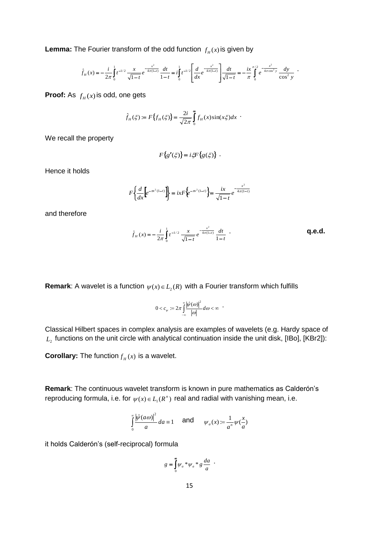**Lemma:** The Fourier transform of the odd function  $f_H(x)$  is given by

he Fourier transform of the odd function 
$$
f_H(x)
$$
 is given by  
\n
$$
\hat{f}_H(x) = -\frac{i}{2\pi} \int_0^1 t^{-1/2} \frac{x}{\sqrt{1-t}} e^{-\frac{x^2}{4\pi(1-t)}} \frac{dt}{1-t} = i \int_0^1 t^{-1/2} \left[ \frac{d}{dx} e^{-\frac{x^2}{4\pi(1-t)}} \right] \frac{dt}{\sqrt{1-t}} = -\frac{ix}{\pi} \int_0^{\pi/2} e^{-\frac{x^2}{4\pi \cos^2 y}} \frac{dy}{\cos^2 y}.
$$

**Proof:** As  $f_H(x)$  is odd, one gets

$$
\hat{f}_H(\xi) := F\left\{f_H(\xi)\right\} = \frac{2i}{\sqrt{2\pi}} \int_0^\infty f_H(x) \sin(x\xi) dx
$$

We recall the property

$$
F\big\{g'(\xi)\big\} = i\xi F\big\{g(\xi)\big\} .
$$

Hence it holds

$$
F\left\{\frac{d}{dx}\left[e^{-\pi x^2(1-t)}\right]\right\} = ixF\left\{e^{-\pi x^2(1-t)}\right\} = \frac{ix}{\sqrt{1-t}}e^{-\frac{x^2}{4\pi(1-t)}}
$$

and therefore

$$
\hat{f}_H(x) = -\frac{i}{2\pi} \int_0^1 t^{-1/2} \frac{x}{\sqrt{1-t}} e^{-\frac{x^2}{4\pi(1-t)}} \frac{dt}{1-t}
$$
 **q.e.d.**

**Remark**: A wavelet is a function  $\psi(x) \in L_2(R)$  with a Fourier transform which fulfills

$$
0 < c_{\psi} := 2\pi \int_{-\infty}^{\infty} \frac{|\hat{\psi}(\omega)|^2}{|\omega|} d\omega < \infty
$$

Classical Hilbert spaces in complex analysis are examples of wavelets (e.g. Hardy space of  $L_{\scriptscriptstyle 2}$  functions on the unit circle with analytical continuation inside the unit disk, [IBo], [KBr2]):

**Corollary:** The function  $f_H(x)$  is a wavelet.

**Remark**: The continuous wavelet transform is known in pure mathematics as Calderón's reproducing formula, i.e. for  $\psi(x) \in L_1(R^n)$  real and radial with vanishing mean, i.e.

$$
\int_{0}^{\infty} \frac{|\hat{\psi}(a\omega)|^2}{a} da \equiv 1 \quad \text{and} \quad \psi_a(x) := \frac{1}{a^n} \psi(\frac{x}{a})
$$

it holds Calderón's (self-reciprocal) formula

$$
g = \int_0^\infty \psi_a * \psi_a * g \frac{da}{a} .
$$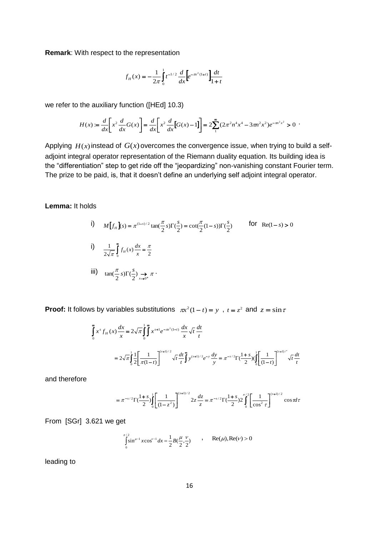**Remark**: With respect to the representation

$$
f_H(x) = -\frac{1}{2\pi} \int_0^1 t^{-1/2} \frac{d}{dx} \left[ e^{-\pi x^2(1+t)} \right] \frac{dt}{1+t}
$$

we refer to the auxiliary function ([HEd] 10.3)

the auxiliary function ([HEd] 10.3)  
\n
$$
H(x) := \frac{d}{dx} \left[ x^2 \frac{d}{dx} G(x) \right] = \frac{d}{dx} \left[ x^2 \frac{d}{dx} [G(x) - 1] \right] = 2 \sum_{1}^{\infty} (2\pi^2 n^4 x^4 - 3\pi n^2 x^2) e^{-\pi n^2 x^2} > 0
$$

Applying  $H(x)$  instead of  $G(x)$  overcomes the convergence issue, when trying to build a selfadjoint integral operator representation of the Riemann duality equation. Its building idea is the "differentiation" step to get ride off the "jeopardizing" non-vanishing constant Fourier term. The prize to be paid, is, that it doesn't define an underlying self adjoint integral operator.

**Lemma:** It holds

i) 
$$
M[f_H](s) = \pi^{(1-s)/2} \tan(\frac{\pi}{2}s) \Gamma(\frac{s}{2}) = \cot(\frac{\pi}{2}(1-s))\Gamma(\frac{s}{2})
$$
 for Re(1-s) > 0  
\nii)  $\frac{1}{2\sqrt{\pi}} \int_0^{\infty} f_H(x) \frac{dx}{x} = \frac{\pi}{2}$   
\niii)  $\tan(\frac{\pi}{2}s) \Gamma(\frac{s}{2}) \implies \pi$ .

**Proof:** It follows by variables substitutions  $\pi x^2(1-t) = y$ ,  $t = z^2$  and  $z = \sin \tau$ 

$$
\int_{0}^{\infty} x^{s} f_{H}(x) \frac{dx}{x} = 2\sqrt{\pi} \int_{0}^{1} \int_{0}^{\infty} x^{s+1} e^{-\pi x^{2}(1-t)} \frac{dx}{x} \sqrt{t} \frac{dt}{t}
$$
\n
$$
= 2\sqrt{\pi} \int_{0}^{1} \frac{1}{2} \left[ \frac{1}{\pi(1-t)} \right]^{(s+1)/2} \sqrt{t} \frac{dt}{t} \int_{0}^{\infty} y^{(s+1)/2} e^{-y} \frac{dy}{y} = \pi^{-s/2} \Gamma(\frac{1+s}{2}) (\int_{0}^{1} \left[ \frac{1}{(1-t)} \right]^{(s+1)/2} \sqrt{t} \frac{dt}{t}
$$

and therefore

$$
= \pi^{-s/2} \Gamma(\frac{1+s}{2}) \int_{0}^{1} \left[ \frac{1}{(1-z^2)} \right]^{(s+1)/2} 2z \frac{dz}{z} = \pi^{-s/2} \Gamma(\frac{1+s}{2}) 2 \int_{0}^{\pi/2} \left[ \frac{1}{\cos^2 \tau} \right]^{(s+1)/2} \cos \tau d\tau
$$

From [SGr] 3.621 we get

$$
\int_{0}^{\pi/2} \sin^{\mu-1} x \cos^{\nu-1} dx = \frac{1}{2} B(\frac{\mu}{2}, \frac{\nu}{2}) \qquad , \qquad \text{Re}(\mu), \text{Re}(\nu) > 0
$$

leading to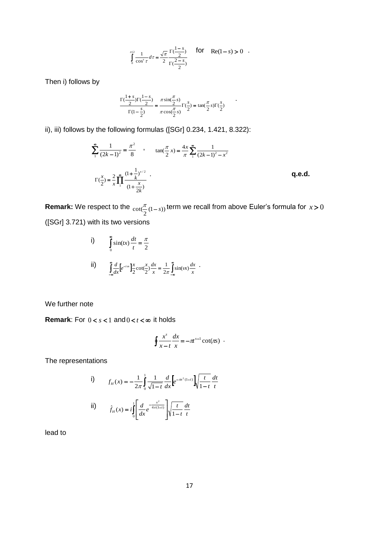$$
\int_{0}^{\pi/2} \frac{1}{\cos^s \tau} d\tau = \frac{\sqrt{\pi}}{2} \frac{\Gamma(\frac{1-s}{2})}{\Gamma(\frac{2-s}{2})}
$$
 for  $\text{Re}(1-s) > 0$ .

Then i) follows by

$$
\frac{\Gamma(\frac{1+s}{2})\Gamma(\frac{1-s}{2})}{\Gamma(1-\frac{s}{2})} = \frac{\pi \sin(\frac{\pi}{2}s)}{\pi \cos(\frac{\pi}{2}s)}\Gamma(\frac{s}{2}) = \tan(\frac{\pi}{2}s)\Gamma(\frac{s}{2})
$$

ii), iii) follows by the following formulas ([SGr] 0.234, 1.421, 8.322):

$$
\sum_{1}^{\infty} \frac{1}{(2k-1)^2} = \frac{\pi^2}{8} , \qquad \tan(\frac{\pi}{2}x) = \frac{4x}{\pi} \sum_{1}^{\infty} \frac{1}{(2k-1)^2 - x^2}
$$

$$
\Gamma(\frac{x}{2}) = \frac{2}{x} \prod_{1}^{\infty} \frac{(1 + \frac{1}{k})^{x/2}}{(1 + \frac{x}{2k})} .
$$
q.e.d.

**Remark:** We respect to the  $_{\cot(\frac{\pi}{2}(1-s))}$  term we recall from above Euler's formula for  $x > 0$ ([SGr] 3.721) with its two versions

i) 
$$
\int_{0}^{\infty} \sin(tx) \frac{dt}{t} = \frac{\pi}{2}
$$
  
ii) 
$$
\int_{-\infty}^{\infty} \frac{d}{dx} \left[e^{-ix}\right] \frac{x}{2} \cot\left(\frac{x}{2}\right) \frac{dx}{x} = \frac{1}{2\pi} \int_{-\infty}^{\infty} \sin(vx) \frac{dx}{x}.
$$

We further note

**Remark**: For  $0 < s < 1$  and  $0 < t < \infty$  it holds

$$
\oint \frac{x^s}{x-t} \frac{dx}{x} = -\pi^{s-1} \cot(\pi s) .
$$

The representations

i) 
$$
f_H(x) = -\frac{1}{2\pi} \int_0^1 \frac{1}{\sqrt{1-t}} \frac{d}{dx} \left[ e^{-\pi x^2(1-t)} \right] \sqrt{\frac{t}{1-t}} \frac{dt}{t}
$$
  
ii) 
$$
\hat{f}_H(x) = i \int_0^1 \left[ \frac{d}{dx} e^{-\frac{x^2}{4\pi(1-t)}} \right] \sqrt{\frac{t}{1-t}} \frac{dt}{t}
$$

lead to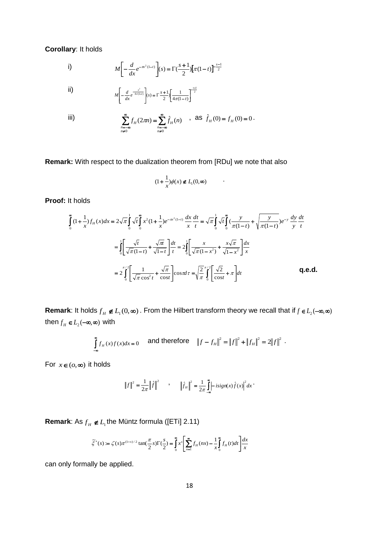**Corollary**: It holds

i) 
$$
M\left[-\frac{d}{dx}e^{-\pi x^2(1-t)}\right](s) = \Gamma(\frac{s+1}{2})\left[\pi(1-t)\right]^{-\frac{s-1}{2}}
$$

ii) 
$$
M\left[-\frac{d}{dx}e^{-\frac{x^2}{4\pi(1-t)}}\right](s) = \Gamma\frac{s+1}{2}\left[\frac{1}{4\pi(1-t)}\right]^{-\frac{s-1}{2}}
$$

iii) 
$$
\sum_{\substack{n=-\infty\\n\neq 0}}^{\infty} f_H(2\pi n) = \sum_{\substack{n=-\infty\\n\neq 0}}^{\infty} \hat{f}_H(n) \quad , \text{ as } \hat{f}_H(0) = f_H(0) = 0.
$$

**Remark:** With respect to the dualization theorem from [RDu] we note that also

$$
(1 + \frac{1}{x})\phi(x) \notin L_1(0, \infty)
$$

.

**Proof:** It holds

It holds  
\n
$$
\int_{0}^{\infty} (1 + \frac{1}{x}) f_{H}(x) dx = 2\sqrt{\pi} \int_{0}^{1} \sqrt{t} \int_{0}^{\infty} x^{2} (1 + \frac{1}{x}) e^{-\pi x^{2}(1-t)} \frac{dx}{x} \frac{dt}{t} = \sqrt{\pi} \int_{0}^{1} \sqrt{t} \int_{0}^{\infty} (\frac{y}{\pi(1-t)} + \sqrt{\frac{y}{\pi(1-t)}}) e^{-y} \frac{dy}{y} \frac{dt}{t}
$$
\n
$$
= \int_{0}^{1} \left[ \frac{\sqrt{t}}{\sqrt{\pi}(1-t)} + \frac{\sqrt{\pi}}{\sqrt{1-t}} \right] \frac{dt}{t} = 2 \int_{0}^{1} \left[ \frac{x}{\sqrt{\pi}(1-x^{2})} + \frac{x\sqrt{\pi}}{\sqrt{1-x^{2}}} \right] \frac{dx}{x}
$$
\n
$$
= 2 \int_{0}^{\pi/2} \left[ \frac{1}{\sqrt{\pi} \cos^{2} t} + \frac{\sqrt{\pi}}{\cos t} \right] \cos \pi dt = \sqrt{\frac{2}{\pi}} \int_{0}^{\pi/2} \left[ \frac{\sqrt{2}}{\cos t} + \pi \right] dt
$$

**Remark**: It holds  $f_H \notin L_1(0, \infty)$  . From the Hilbert transform theory we recall that if  $f \in L_2(-\infty, \infty)$ then  $f_H \in L_2(-\infty, \infty)$  with

$$
\int_{-\infty}^{\infty} f_H(x) f(x) dx = 0 \quad \text{and therefore} \quad ||f - f_H||^2 = ||f||^2 + ||f_H||^2 = 2||f||^2.
$$

For  $x \in (0, \infty)$  it holds

$$
\|f\|^2 = \frac{1}{2\pi} \|\hat{f}\|^2 \qquad , \qquad \|\hat{f}_H\|^2 = \frac{1}{2\pi} \int_0^{\infty} -isign(x)\hat{f}(x)|^2 dx
$$

**Remark**: As  $f_H \notin L_1$ the Müntz formula ([ETi] 2.11)

$$
\tilde{\zeta}^*(s) := \zeta(s)\pi^{(1-s)/2} \tan(\frac{\pi}{2}s) \Gamma(\frac{s}{2}) = \int_0^\infty x^s \left[ \sum_{n=1}^\infty f_n(nx) - \frac{1}{x} \int_0^\infty f_n(t)dt \right] \frac{dx}{x}
$$

can only formally be applied.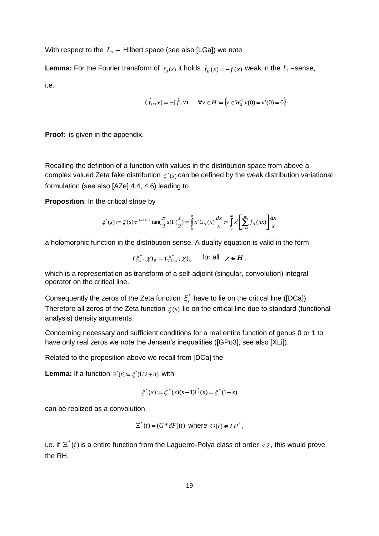With respect to the  $\, L_{\rm 2} -$  Hilbert space (see also [LGa]) we note

**Lemma:** For the Fourier transform of  $f_{H}(x)$  it holds  $\hat{f}_{H}(x) = -\hat{f}(x)$  weak in the  $L_2$ -sense, i.e.

$$
(\hat{f}_H, v) = -(\hat{f}, v) \qquad \forall v \in H := \{v \in W_2^1 | v(0) = v'(0) = 0\}.
$$

**Proof:** is given in the appendix.

Recalling the defintion of a function with values in the distribution space from above a complex valued Zeta fake distribution  $\zeta^*(s)$  can be defined by the weak distribution variational formulation (see also [AZe] 4.4, 4.6) leading to

**Proposition**: In the critical stripe by

$$
\xi^*(s) := \zeta(s)\pi^{(1-s)/2} \tan(\frac{\pi}{2}s) \Gamma(\frac{s}{2}) = \int_0^\infty x^s G_H(x) \frac{dx}{x} = \int_0^\infty x^s \left[ \sum_{n=1}^\infty f_H(nx) \right] \frac{dx}{x}
$$

a holomorphic function in the distribution sense. A duality equation is valid in the form

$$
(\xi_s^*, \chi)_0 = (\xi_{1-s}^*, \chi)_0 \quad \text{for all} \quad \chi \in H \;,
$$

which is a representation as transform of a self-adjoint (singular, convolution) integral operator on the critical line.

Consequently the zeros of the Zeta function  $\zeta_s^*$  have to lie on the critical line ([DCa]). Therefore all zeros of the Zeta function  $\zeta(s)$  lie on the critical line due to standard (functional analysis) density arguments.

Concerning necessary and sufficient conditions for a real entire function of genus 0 or 1 to have only real zeros we note the Jensen's inequalities ([GPo3], see also [XLi]).

Related to the proposition above we recall from [DCa] the

**Lemma:** If a function  $\Xi^*(t) := \xi^*(1/2 + it)$  with

$$
\zeta^*(s) := \zeta^*(s)(s-1)\tilde{\Pi}(s) = \zeta^*(1-s)
$$

can be realized as a convolution

$$
\Xi^*(t) = (G^*dF)(t) \text{ where } G(t) \in LP^*,
$$

i.e. if  $\overline{\Xi}^*(t)$  is a entire function from the Laguerre-Polya class of order  $<$  2, this would prove the RH.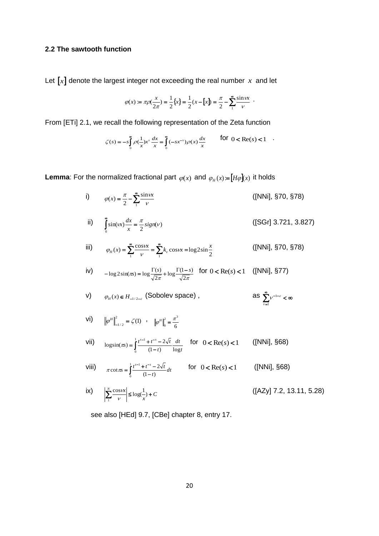# **2.2 The sawtooth function**

Let  $\llbracket x \rrbracket$  denote the largest integer not exceeding the real number  $x$  and let

$$
\varphi(x) := \pi \rho(\frac{x}{2\pi}) = \frac{1}{2} \{x\} = \frac{1}{2} (x - [x]) = \frac{\pi}{2} - \sum_{1}^{\infty} \frac{\sin \nu x}{\nu}.
$$

From [ETi] 2.1, we recall the following representation of the Zeta function

$$
\zeta(s) = -s \int_{0}^{\infty} \rho(\frac{1}{x}) x^s \frac{dx}{x} = \int_{0}^{\infty} (-sx^{-s}) \rho(x) \frac{dx}{x}
$$
 for  $0 < \text{Re}(s) < 1$ .

**Lemma**: For the normalized fractional part  $\varphi(x)$  and  $\varphi_H(x) = [H\varphi](x)$  it holds

i)  $\rho(x) = \frac{\pi}{2} - \sum_{n=1}^{\infty} \frac{1}{n}$ 1 sin  $f(x) = \frac{\pi}{2} - \sum_{1} \frac{\sin x}{v}$  $\varphi(x) = \frac{\pi}{2} - \sum_{n=1}^{\infty} \frac{\sin nx}{n}$ ([NNi], §70, §78)

ii) 
$$
\int_{0}^{\infty} \sin(\iota x) \frac{dx}{x} = \frac{\pi}{2} sign(\nu)
$$
 ([SGr] 3.721, 3.827)

iii) 
$$
\varphi_H(x) = \sum_{1}^{\infty} \frac{\cos \nu x}{\nu} = \sum_{1}^{\infty} k_{\nu} \cos \nu x = \log 2 \sin \frac{x}{2}
$$
 ([NNi], §70, §78)

iv) 
$$
-\log 2\sin(\pi x) = \log \frac{\Gamma(s)}{\sqrt{2\pi}} + \log \frac{\Gamma(1-s)}{\sqrt{2\pi}} \quad \text{for } 0 < \text{Re}(s) < 1 \quad \text{([NNi], §77)}
$$

v) 
$$
\varphi_H(x) \in H_{-1/2-\varepsilon}
$$
 (Sobolev space), as  $\sum_{k=1}^{\infty} v^{-1-\varepsilon} < \infty$ 

 $v=1$ 

- $V1$ )  $\left\| \varphi^H \right\|^2_{\mathcal{L}^2} = \zeta(1)$  $\left\| \varphi^H \right\|_{-1/2}^2 = \zeta(1)$ , 6 2  $\pi^3$ 0  $\left\|\varphi^H\right\|^2 = \frac{\pi}{2}$
- VII)  $\log \sin(\pi s) = \int_0^1 \frac{t^{s-1} + t^{-s} t}{(1-t)}$ 0 1  $(1-t)$  log  $\log \sin(\pi s) = \int_0^1 \frac{t^{s-1} + t^{-s} - 2\sqrt{t}}{(1-t)} \frac{dt}{\log t}$ *dt t*  $f(x) = \int_0^1 \frac{t^{s-1} + t^{-s} - 2\sqrt{t}}{t^s}$  $\pi s$ ) =  $\int_{0}^{1} \frac{1}{(1-t)}$   $\frac{1}{\log t}$ for  $0 < \text{Re}(s) < 1$  ([NNi], §68)
- Viii)  $\pi \cot \pi s = \int_{0}^{1} \frac{t^{s-1} + t^{-s} t}{(1-t)^s}$ 0 1  $(1 - t)$  $\cot \pi s = \int_0^1 \frac{t^{s-1} + t^{-s} - 2\sqrt{t}}{(1-t)} dt$  $s = \int_0^1 \frac{t^{s-1} + t^{-s} - 2\sqrt{t}}{t^{s-1}}$  $\pi \cot \pi s = \int_{0}^{t} \frac{1-t}{(1-t)} dt$ for  $0 < Re(s) < 1$  ([NNi], §68)

ix) 
$$
\left| \sum_{1}^{N} \frac{\cos \alpha x}{\nu} \right| \le \log(\frac{1}{x}) + C
$$
 ([AZy] 7.2, 13.11, 5.28)

see also [HEd] 9.7, [CBe] chapter 8, entry 17.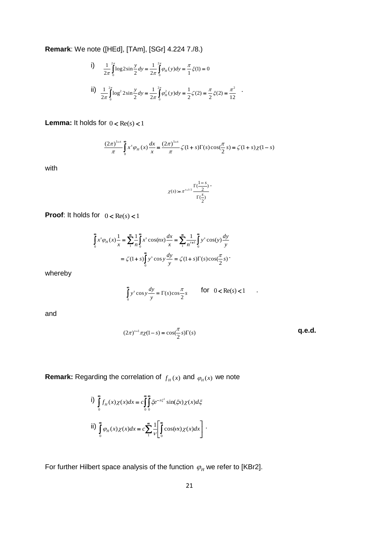**Remark**: We note ([HEd], [TAm], [SGr] 4.224 7./8.)

i) 
$$
\frac{1}{2\pi} \int_{0}^{2\pi} \log 2 \sin \frac{y}{2} dy = \frac{1}{2\pi} \int_{0}^{2\pi} \varphi_{H}(y) dy = \frac{\pi}{1} \xi(1) = 0
$$
  
ii) 
$$
\frac{1}{2\pi} \int_{0}^{2\pi} \log^{2} 2 \sin \frac{y}{2} dy = \frac{1}{2\pi} \int_{0}^{2\pi} \varphi_{H}^{2}(y) dy = \frac{1}{2} \zeta(2) = \frac{\pi}{2} \xi(2) = \frac{\pi^{2}}{12}
$$

**Lemma:** It holds for  $0 < \text{Re}(s) < 1$ 

$$
\frac{(2\pi)^{1-s}}{\pi} \int_{0}^{\infty} x^{s} \varphi_{H}(x) \frac{dx}{x} = \frac{(2\pi)^{1-s}}{\pi} \zeta(1+s) \Gamma(s) \cos(\frac{\pi}{2} s) = \zeta(1+s) \chi(1-s)
$$

with

$$
\chi(s) := \pi^{s-1/2} \frac{\Gamma(\frac{1-s}{2})}{\Gamma(\frac{s}{2})}.
$$

**Proof:** It holds for  $0 < \text{Re}(s) < 1$ 

$$
\int_{0}^{\infty} x^{s} \varphi_{H}(x) \frac{1}{x} = \sum_{1}^{\infty} \frac{1}{n} \int_{0}^{\infty} x^{s} \cos(nx) \frac{dx}{x} = \sum_{1}^{\infty} \frac{1}{n^{s+1}} \int_{0}^{\infty} y^{s} \cos(y) \frac{dy}{y}
$$

$$
= \zeta (1+s) \int_{0}^{\infty} y^{s} \cos(y) \frac{dy}{y} = \zeta (1+s) \Gamma(s) \cos(\frac{\pi}{2}s)
$$

whereby

$$
\int_{0}^{\infty} y^{s} \cos y \frac{dy}{y} = \Gamma(s) \cos \frac{\pi}{2} s \qquad \text{for} \quad 0 < \text{Re}(s) < 1
$$

and

$$
(2\pi)^{s-1}\pi\chi(1-s) = \cos(\frac{\pi}{2}s)\Gamma(s)
$$
q.e.d.

.

**Remark:** Regarding the correlation of  $f_H(x)$  and  $\varphi_H(x)$  we note

i) 
$$
\int_{0}^{\infty} f_{H}(x) \chi(x) dx = c \int_{0}^{\infty} \int_{0}^{\infty} \xi e^{-\pi \xi^{2}} \sin(\xi x) \chi(x) d\xi
$$
  
ii) 
$$
\int_{0}^{\infty} \varphi_{H}(x) \chi(x) dx = c \sum_{1}^{\infty} \frac{1}{\nu} \left[ \int_{0}^{\infty} \cos(ix) \chi(x) dx \right].
$$

For further Hilbert space analysis of the function  $\varphi_{\scriptscriptstyle H}$  we refer to [KBr2].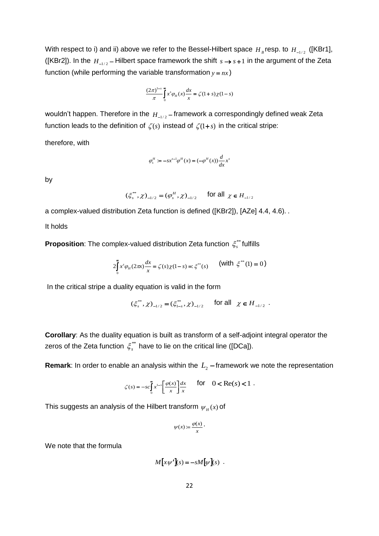With respect to i) and ii) above we refer to the Bessel-Hilbert space  $H_{B}$ resp. to  $H_{-1/2}$  ([KBr1], ([KBr2]). In the  $H_{-1/2}$  – Hilbert space framework the shift  $s \rightarrow s+1$  in the argument of the Zeta function (while performing the variable transformation  $y = nx$ )

$$
\frac{(2\pi)^{1-s}}{\pi} \int_{0}^{\infty} x^s \varphi_H(x) \frac{dx}{x} = \zeta(1+s)\chi(1-s)
$$

wouldn't happen. Therefore in the  $H_{\perp_{1/2}}$  – framework a correspondingly defined weak Zeta function leads to the definition of  $\,\zeta(s)\,$  instead of  $\,\zeta(1\!+\!s)\,$  in the critical stripe:

therefore, with

$$
\varphi_s^H := -sx^{s-1}\varphi^H(x) = (-\varphi^H(x))\frac{d}{dx}x^s
$$

by

$$
(\xi_s^{**}, \chi)_{-1/2} = (\varphi_s^H, \chi)_{-1/2}
$$
 for all  $\chi \in H_{-1/2}$ 

a complex-valued distribution Zeta function is defined ([KBr2]), [AZe] 4.4, 4.6). .

It holds

**Proposition**: The complex-valued distribution Zeta function  $\zeta^{\ast\ast}_{s}$  fulfills

$$
2\int_{0}^{\infty} x^{s} \varphi_{H}(2\pi x) \frac{dx}{x} = \zeta(s) \chi(1-s) =: \xi^{**}(s) \qquad \text{(with } \xi^{**}(1) = 0 \text{)}
$$

In the critical stripe a duality equation is valid in the form

$$
(\xi_s^{**}, \chi)_{-1/2} = (\xi_{1-s}^{**}, \chi)_{-1/2}
$$
 for all  $\chi \in H_{-1/2}$ .

**Corollary**: As the duality equation is built as transform of a self-adjoint integral operator the zeros of the Zeta function  $\zeta^{\ast\ast}_{s}$  have to lie on the critical line ([DCa]).

**Remark**: In order to enable an analysis within the  $L_2$  -framework we note the representation

$$
\zeta(s) = -sc \int_0^\infty x^{1-s} \left[ \frac{\varphi(x)}{x} \right] \frac{dx}{x} \quad \text{for} \quad 0 < \text{Re}(s) < 1 \; .
$$

This suggests an analysis of the Hilbert transform  $\psi_{\scriptscriptstyle H}(x)$  of

$$
\psi(x) := \frac{\varphi(x)}{x} \cdot
$$

We note that the formula

$$
M[x\psi'](s) = -sM[\psi](s) .
$$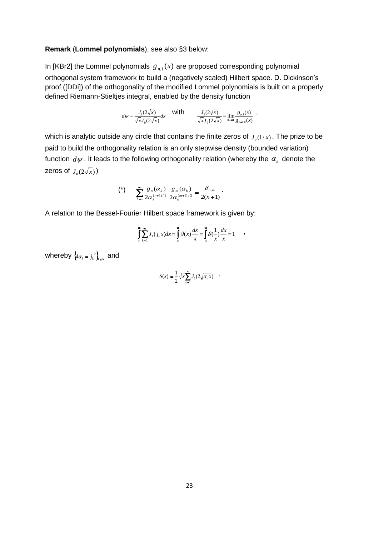### **Remark** (**Lommel polynomials**), see also §3 below:

In [KBr2] the Lommel polynomials  $g_{n,1}(x)$  are proposed corresponding polynomial orthogonal system framework to build a (negatively scaled) Hilbert space. D. Dickinson's proof ([DDi]) of the orthogonality of the modified Lommel polynomials is built on a properly defined Riemann-Stieltjes integral, enabled by the density function

$$
d\psi = \frac{J_1(2\sqrt{x})}{\sqrt{x}J_0(2\sqrt{x})}dx \quad \text{with} \quad \frac{J_1(2\sqrt{x})}{\sqrt{x}J_0(2\sqrt{x})} = \lim_{n \to \infty} \frac{g_{n,1}(x)}{g_{n+1,0}(x)},
$$

which is analytic outside any circle that contains the finite zeros of  $J_{\nu}(1/x)$ . The prize to be paid to build the orthogonality relation is an only stepwise density (bounded variation) function  $\,d\psi$  . It leads to the following orthogonality relation (whereby the  $\,\alpha_{_k}\,$  denote the zeros of  $J_0(2\sqrt{x})$ 

$$
(*)\qquad \sum_{k=1}^{\infty}\frac{g_n(\alpha_k)}{2\alpha_k^{(n+1)/2}}\frac{g_m(\alpha_k)}{2\alpha_k^{(m+1)/2}}=\frac{\delta_{n,m}}{2(n+1)}.
$$

A relation to the Bessel-Fourier Hilbert space framework is given by:

$$
\int_{0}^{\infty} \sum_{k=1}^{\infty} J_1(j_{\nu} x) dx = \int_{0}^{\infty} \mathcal{G}(x) \frac{dx}{x} = \int_{0}^{\infty} \mathcal{G}(\frac{1}{x}) \frac{dx}{x} = 1 \qquad ,
$$

whereby  $\left\{\begin{smallmatrix} 4\alpha_k=j_k^{-2} \end{smallmatrix}\right\}_{k\in\mathbb{N}}$  and

$$
\mathcal{G}(x) := \frac{1}{2} \sqrt{x} \sum_{k=1}^{\infty} J_1(2\sqrt{\alpha_{k} x}) \quad .
$$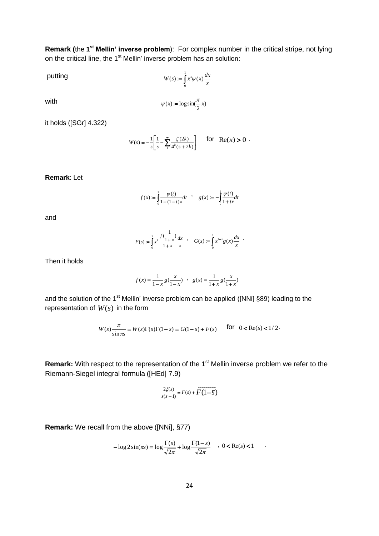**Remark (the 1<sup>st</sup> Mellin' inverse problem):** For complex number in the critical stripe, not lying on the critical line, the 1<sup>st</sup> Mellin' inverse problem has an solution:

putting

\n
$$
W(s) := \int_{0}^{1} x^{s} \psi(x) \frac{dx}{x}
$$
\nwith

\n
$$
\psi(x) := \log \sin(\frac{\pi}{2} x)
$$

it holds ([SGr] 4.322)

$$
W(s) = -\frac{1}{s} \left[ \frac{1}{s} - \sum_{1}^{\infty} \frac{\zeta(2k)}{4^k (s+2k)} \right] \quad \text{for} \quad \text{Re}(x) > 0 \ .
$$

**Remark**: Let

$$
f(x) := \int_0^1 \frac{\psi(t)}{1 - (1 - t)x} dt \quad , \quad g(x) := -\int_0^1 \frac{\psi(t)}{1 + tx} dt
$$

and

$$
F(s) := \int_0^1 x^s \frac{f(\frac{1}{1+x})}{1+x} dx \quad , \quad G(s) := \int_0^1 x^{1-s} g(x) \frac{dx}{x} .
$$

Then it holds

$$
f(x) = \frac{1}{1-x} g(\frac{x}{1-x}) \quad , \quad g(x) = \frac{1}{1+x} g(\frac{x}{1+x})
$$

and the solution of the 1<sup>st</sup> Mellin' inverse problem can be applied ([NNi] §89) leading to the representation of  $W(s)$  in the form

$$
W(s)\frac{\pi}{\sin \pi s} = W(s)\Gamma(s)\Gamma(1-s) = G(1-s) + F(s) \qquad \text{for} \quad 0 < \text{Re}(s) < 1/2.
$$

**Remark:** With respect to the representation of the 1<sup>st</sup> Mellin inverse problem we refer to the Riemann-Siegel integral formula ([HEd] 7.9)

$$
\frac{2\xi(s)}{s(s-1)} = F(s) + \overline{F(1-\overline{s})}
$$

**Remark:** We recall from the above ([NNi], §77)

$$
-\log 2\sin(\pi s) = \log \frac{\Gamma(s)}{\sqrt{2\pi}} + \log \frac{\Gamma(1-s)}{\sqrt{2\pi}} \quad , \ 0 < \text{Re}(s) < 1
$$

.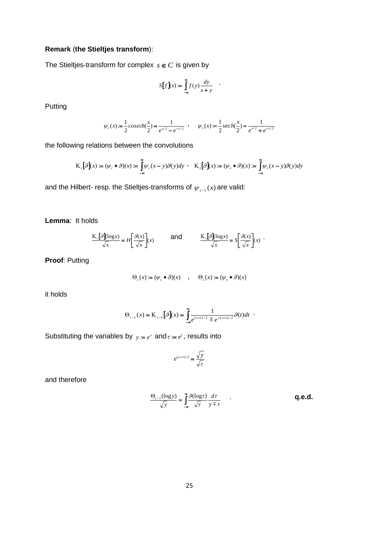# **Remark** (**the Stieltjes transform**):

The Stieltjes-transform for complex  $s \in C$  is given by

$$
S[f](s) := \int_{-\infty}^{\infty} f(y) \frac{dy}{s+y} \quad .
$$

Putting

$$
\psi_c(x) := \frac{1}{2}\csc h(\frac{x}{2}) = \frac{1}{e^{x/2} - e^{-x/2}} , \quad \psi_s(x) := \frac{1}{2}\sec h(\frac{x}{2}) = \frac{1}{e^{x/2} + e^{-x/2}}
$$

the following relations between the convolutions

$$
\mathcal{K}_c[\mathcal{G}](x) := (\psi_c * \mathcal{G})(x) := \int_{-\infty}^{\infty} \psi_c(x - y) \mathcal{G}(y) dy \quad K_s[\mathcal{G}](x) := (\psi_s * \mathcal{G})(x) := \int_{-\infty}^{\infty} \psi_s(x - y) \mathcal{G}(y) dy
$$

and the Hilbert- resp. the Stieltjes-transforms of  $\psi_{c/s}(x)$  are valid:

**Lemma**: It holds

$$
\frac{K_{c}[9](\log x)}{\sqrt{x}} = H\left[\frac{9(x)}{\sqrt{x}}\right](x) \quad \text{and} \quad \frac{K_{s}[9](\log x)}{\sqrt{x}} = S\left[\frac{9(x)}{\sqrt{x}}\right](x)
$$

**Proof**: Putting

$$
\Theta_c(x) := (\psi_c * \mathcal{G})(x) \quad , \quad \Theta_s(x) := (\psi_s * \mathcal{G})(x)
$$

it holds

$$
\Theta_{c/s}(x) = \mathbf{K}_{c/s} \left[ \mathcal{G} \right](x) = \int_{-\infty}^{\infty} \frac{1}{e^{(x-t)/2} \mp e^{-(x-t)/2}} \mathcal{G}(t) dt
$$

Substituting the variables by  $y = e^x$  and  $\tau = e^t$ , results into

$$
e^{(x-t)/2} = \frac{\sqrt{y}}{\sqrt{\tau}}
$$

and therefore

$$
\frac{\Theta_{c/s}(\log y)}{\sqrt{y}} = \int_{-\infty}^{\infty} \frac{\mathcal{G}(\log \tau)}{\sqrt{\tau}} \frac{d\tau}{y \mp \tau}
$$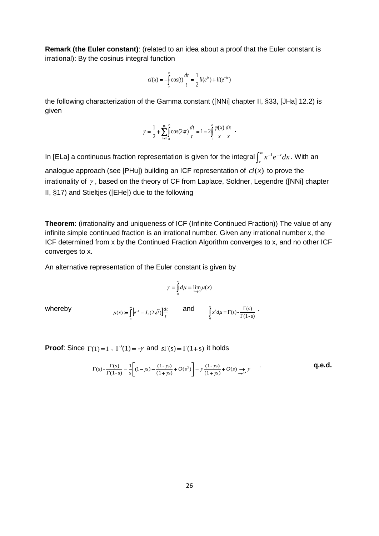**Remark (the Euler constant)**: (related to an idea about a proof that the Euler constant is irrational): By the cosinus integral function

$$
ci(x) = -\int_{x}^{\infty} \cos(t) \frac{dt}{t} = \frac{1}{2} li(e^{ix}) + li(e^{-ic})
$$

the following characterization of the Gamma constant ([NNi] chapter II, §33, [JHa] 12.2) is given

$$
\gamma = \frac{1}{2} + \sum_{n=1}^{\infty} \int_{n}^{\infty} \cos(2\pi t) \frac{dt}{t} = 1 - 2 \int_{1}^{\infty} \frac{\varphi(x)}{x} \frac{dx}{x} .
$$

In [ELa] a continuous fraction representation is given for the integral  $\int_x^\infty x^{-1}e^{-x}$ *x*  $x^{-1}e^{-x}dx$  . With an analogue approach (see [PHu]) building an ICF representation of *ci*(*x*) to prove the irrationality of  $\gamma$ , based on the theory of CF from Laplace, Soldner, Legendre ([NNi] chapter II, §17) and Stieltjes ([EHe]) due to the following

**Theorem**: (irrationality and uniqueness of ICF (Infinite Continued Fraction)) The value of any infinite simple continued fraction is an irrational number. Given any irrational number x, the ICF determined from x by the Continued Fraction Algorithm converges to x, and no other ICF converges to x.

An alternative representation of the Euler constant is given by

$$
\gamma = \int_{0}^{\infty} d\mu = \lim_{x \to 0} \mu(x)
$$

whereby

$$
\mu(x) := \int_{x}^{\infty} \left[ e^{-t} - J_0(2\sqrt{t}) \right] \frac{dt}{t}
$$
 and 
$$
\int_{0}^{\infty} x^s d\mu = \Gamma(s) - \frac{\Gamma(s)}{\Gamma(1-s)}
$$
.

**Proof:** Since  $\Gamma(1)=1$ ,  $\Gamma'(1)=-\gamma$  and  $s\Gamma(s)=\Gamma(1+s)$  it holds

$$
\Gamma(s) - \frac{\Gamma(s)}{\Gamma(1-s)} = \frac{1}{s} \left[ (1 - \gamma s) - \frac{(1 - \gamma s)}{(1 + \gamma s)} + O(s^2) \right] = \gamma \frac{(1 - \gamma s)}{(1 + \gamma s)} + O(s) \underset{s \to 0^+}{\longrightarrow} \gamma
$$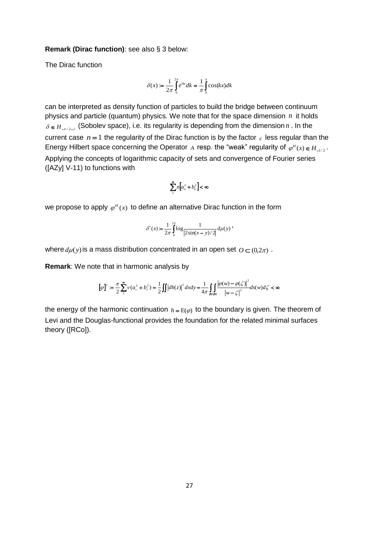### **Remark (Dirac function)**: see also § 3 below:

The Dirac function

$$
\delta(x) := \frac{1}{2\pi} \int_{0}^{2\pi} e^{ikx} dk = \frac{1}{\pi} \int_{0}^{\pi} \cos(kx) dk
$$

can be interpreted as density function of particles to build the bridge between continuum physics and particle (quantum) physics. We note that for the space dimension *n* it holds  $\delta \in H_{m/2-\varepsilon}$  (Sobolev space), i.e. its regularity is depending from the dimension n. In the current case  $n = 1$  the regularity of the Dirac function is by the factor  $\varepsilon$  less regular than the Energy Hilbert space concerning the Operator A resp. the "weak" regularity of  $\varphi^H(x) \in H_{\perp/2}$ . Applying the concepts of logarithmic capacity of sets and convergence of Fourier series ([AZy] V-11) to functions with

$$
\sum_{1}^{\infty} n \bigg[a_n^2 + b_n^2\bigg] < \infty
$$

we propose to apply  $\varphi^H(x)$  to define an alternative Dirac function in the form

$$
\delta^*(x) := \frac{1}{2\pi} \int_0^{2\pi} \log \frac{1}{|2\sin(x-y)/2|} d\mu(y) ,
$$

where  $d\mu(y)$  is a mass distribution concentrated in an open set  $O \subset (0, 2\pi)$ .

**Remark:** We note that in harmonic analysis by  
\n
$$
[\varphi]^2 := \frac{\pi}{2} \sum_{i=1}^{\infty} v(a_i^2 + b_i^2) = \frac{1}{2} \iint |dh(z)|^2 dx dy = \frac{1}{4\pi} \iint_{\partial B} \frac{|\varphi(w) - \varphi(\zeta)|^2}{|w - \zeta|^2} ds(w) d\zeta < \infty
$$

the energy of the harmonic continuation  $h = E(\varphi)$  to the boundary is given. The theorem of Levi and the Douglas-functional provides the foundation for the related minimal surfaces theory ([RCo]).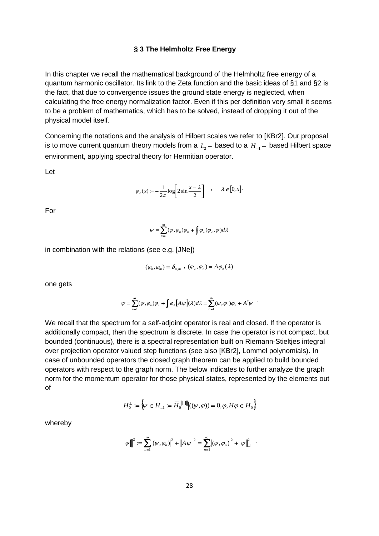# **§ 3 The Helmholtz Free Energy**

In this chapter we recall the mathematical background of the Helmholtz free energy of a quantum harmonic oscillator. Its link to the Zeta function and the basic ideas of §1 and §2 is the fact, that due to convergence issues the ground state energy is neglected, when calculating the free energy normalization factor. Even if this per definition very small it seems to be a problem of mathematics, which has to be solved, instead of dropping it out of the physical model itself.

Concerning the notations and the analysis of Hilbert scales we refer to [KBr2]. Our proposal is to move current quantum theory models from a  $L_{2}$  – based to a  $H_{-1}$  – based Hilbert space environment, applying spectral theory for Hermitian operator.

Let

$$
\varphi_\lambda(x) := -\frac{1}{2\pi} \log \left[ 2\sin \frac{x-\lambda}{2} \right] \quad , \quad \lambda \in [0,x].
$$

For

$$
\psi = \sum_{n=1}^{\infty} (\psi, \varphi_n) \varphi_n + \int \varphi_{\lambda}(\varphi_{\lambda}, \psi) d\lambda
$$

in combination with the relations (see e.g. [JNe])

$$
(\varphi_n, \varphi_m) = \delta_{n,m} , (\varphi_\lambda, \varphi_n) = A \varphi_n(\lambda)
$$

one gets

$$
\psi = \sum_{n=1}^{\infty} (\psi, \varphi_n) \varphi_n + \int \varphi_{\lambda} \big[ A \psi \big] (\lambda) d\lambda = \sum_{n=1}^{\infty} (\psi, \varphi_n) \varphi_n + A^2 \psi
$$

We recall that the spectrum for a self-adjoint operator is real and closed. If the operator is additionally compact, then the spectrum is discrete. In case the operator is not compact, but bounded (continuous), there is a spectral representation built on Riemann-Stieltjes integral over projection operator valued step functions (see also [KBr2], Lommel polynomials). In case of unbounded operators the closed graph theorem can be applied to build bounded operators with respect to the graph norm. The below indicates to further analyze the graph norm for the momentum operator for those physical states, represented by the elements out of

$$
H_0^{\perp} := \left\{ \psi \in H_{-1} := \overline{H}_0^{\parallel \parallel} \middle| ((\psi, \varphi)) = 0, \varphi, H\varphi \in H_0 \right\}
$$

whereby

$$
\|\psi\|^2 = \sum_{n=1}^{\infty} |(\psi, \varphi_n)|^2 + \|A \psi\|^2 = \sum_{n=1}^{\infty} |(\psi, \varphi_n)|^2 + \|\psi\|^2_{-1}.
$$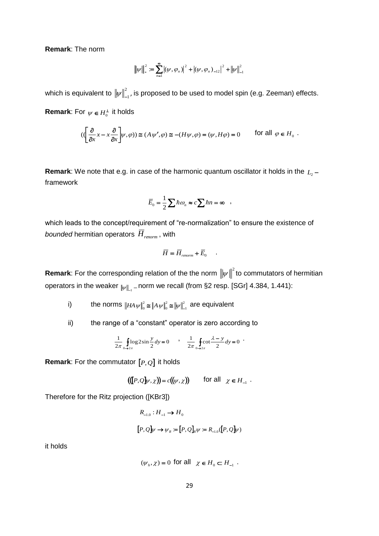**Remark**: The norm

$$
\|\psi\|_{*}^{2} := \sum_{n=1}^{\infty} |(\psi, \varphi_{n})|^{2} + |(\psi, \varphi_{n})_{-12}|^{2} + |\psi\|_{-1}^{2}
$$

which is equivalent to  $\left\Vert \mathbf{\psi}\right\Vert ^{2}$  $\|\psi\|_{_{-1}}^{\!\scriptscriptstyle{+}}$ , is proposed to be used to model spin (e.g. Zeeman) effects.

**Remark**: For  $\psi \in H_0^{\perp}$  it holds

$$
(\left(\frac{\partial}{\partial x}x - x\frac{\partial}{\partial x}\right)\psi, \varphi)) \cong (A\psi', \varphi) \cong -(H\psi, \varphi) = (\psi, H\varphi) = 0 \quad \text{for all } \varphi \in H_0.
$$

**Remark**: We note that e.g. in case of the harmonic quantum oscillator it holds in the *L*<sup>2</sup> framework

$$
\overline{E}_0 = \frac{1}{2} \sum \hbar \omega_n \approx c \sum \hbar n = \infty ,
$$

which leads to the concept/requirement of "re-normalization" to ensure the existence of *bounded* hermitian operators *Hrenorm* , with

$$
\overline{H} = \overline{H}_{\text{renorm}} + \overline{E}_0 \qquad .
$$

**Remark**: For the corresponding relation of the the norm  $\|\psi\|^2$  to commutators of hermitian operators in the weaker  $_{\Vert \! \psi \Vert_{_{-1}}}$  – norm we recall (from §2 resp. [SGr] 4.384, 1.441):

i) the norms  $\|HAw\|^2 \cong \|Aw\|^2 \cong \|w\|^2$ 1 2 0  $HA \psi \big\|_0^2 \cong \|A \psi\|_0^2 \cong \big\| \psi\big\|_{-1}^2$  are equivalent

ii) the range of a "constant" operator is zero according to

$$
\frac{1}{2\pi} \oint_{0 \to 2\pi} \log 2 \sin \frac{y}{2} dy = 0 \qquad , \qquad \frac{1}{2\pi} \oint_{0 \to 2\pi} \cot \frac{\lambda - y}{2} dy = 0
$$

**Remark**: For the commutator *P*,*Q* it holds

$$
((\llbracket P,Q \rrbracket \psi, \chi)) = c((\psi, \chi)) \qquad \text{for all} \quad \chi \in H_{-1} \; .
$$

Therefore for the Ritz projection ([KBr3])

$$
\begin{aligned} R_{-1.0}: H_{-1} &\to H_0 \\ \bigl[P,Q\bigr] &\psi \to \psi_R := \bigl[P,Q\bigr]_R \psi := R_{-1.0}(\bigl[P,Q\bigr] \psi) \end{aligned}
$$

it holds

$$
(\psi_h, \chi) = 0
$$
 for all  $\chi \in H_0 \subset H_{-1}$ .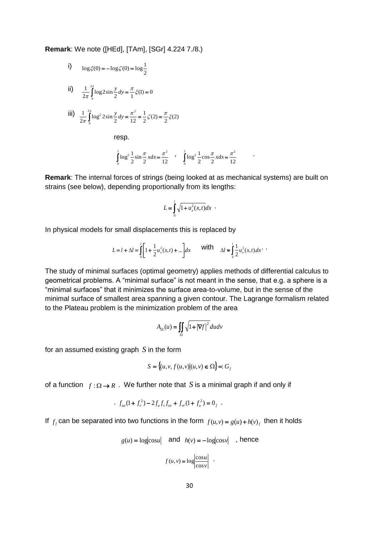**Remark**: We note ([HEd], [TAm], [SGr] 4.224 7./8.)

i) 
$$
\log \xi(0) = -\log \zeta(0) = \log \frac{1}{2}
$$

ii) 
$$
\frac{1}{2\pi} \int_{0}^{2\pi} \log 2 \sin \frac{y}{2} dy = \frac{\pi}{1} \xi(1) = 0
$$

$$
\text{iii)} \quad \frac{1}{2\pi} \int_{0}^{2\pi} \log^2 2\sin \frac{y}{2} \, dy = \frac{\pi^2}{12} = \frac{1}{2} \zeta(2) = \frac{\pi}{2} \xi(2)
$$

resp.

$$
\int_{0}^{1} \log^{2} \frac{1}{2} \sin \frac{\pi}{2} x dx = \frac{\pi^{2}}{12} , \quad \int_{0}^{1} \log^{2} \frac{1}{2} \cos \frac{\pi}{2} x dx = \frac{\pi^{2}}{12}
$$

**Remark**: The internal forces of strings (being looked at as mechanical systems) are built on strains (see below), depending proportionally from its lengths:

$$
L = \int_0^l \sqrt{1 + u_x^2(x, t)} dx
$$
.

In physical models for small displacements this is replaced by

$$
L = l + \Delta l = \int_0^l \left[ 1 + \frac{1}{2} u_x^2(x, t) + \dots \right] dx \quad \text{with} \quad \Delta l \approx \int_0^l \frac{1}{2} u_x^2(x, t) dx.
$$

The study of minimal surfaces (optimal geometry) applies methods of differential calculus to geometrical problems. A "minimal surface" is not meant in the sense, that e.g. a sphere is a "minimal surfaces" that it minimizes the surface area-to-volume, but in the sense of the minimal surface of smallest area spanning a given contour. The Lagrange formalism related to the Plateau problem is the minimization problem of the area

$$
A_{\Omega}(u) = \iint_{\Omega} \sqrt{1 + |\nabla f|^{2}} du dv
$$

for an assumed existing graph *S* in the form

$$
S = \{(u, v, f(u, v) | (u, v) \in \Omega\} =: G_f
$$

of a function  $f: \Omega \to R$ . We further note that S is a minimal graph if and only if

$$
f_{uu}(1+f_v^2) - 2f_u f_v f_{uv} + f_w (1+f_u^2) = 0
$$

If  $f_f$  can be separated into two functions in the form  $f(u,v) = g(u) + h(v)$  then it holds

 $g(u) = \log|\cos u|$  and  $h(v) = -\log|\cos v|$  , hence

$$
f(u, v) = \log \left| \frac{\cos u}{\cos v} \right| \quad .
$$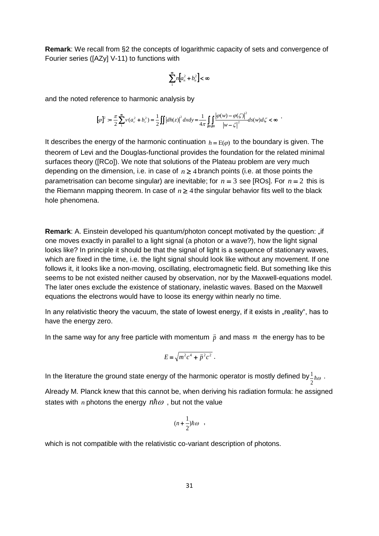**Remark**: We recall from §2 the concepts of logarithmic capacity of sets and convergence of Fourier series ([AZy] V-11) to functions with

$$
\sum_{1}^{\infty} n \bigg[a_n^2 + b_n^2\bigg] < \infty
$$

and the noted reference to harmonic analysis by  
\n
$$
[\varphi]^{2} := \frac{\pi}{2} \sum_{1}^{\infty} v(a_{v}^{2} + b_{v}^{2}) = \frac{1}{2} \iint |dh(z)|^{2} dx dy = \frac{1}{4\pi} \iint_{\partial B} \frac{|\varphi(w) - \varphi(\zeta)|^{2}}{|w - \zeta|^{2}} ds(w) d\zeta < \infty
$$

It describes the energy of the harmonic continuation  $h = E(\varphi)$  to the boundary is given. The theorem of Levi and the Douglas-functional provides the foundation for the related minimal surfaces theory ([RCo]). We note that solutions of the Plateau problem are very much depending on the dimension, i.e. in case of  $n \geq 4$  branch points (i.e. at those points the parametrisation can become singular) are inevitable; for  $n = 3$  see [ROs]. For  $n = 2$  this is the Riemann mapping theorem. In case of  $n \geq 4$  the singular behavior fits well to the black hole phenomena.

**Remark:** A. Einstein developed his quantum/photon concept motivated by the question: "if one moves exactly in parallel to a light signal (a photon or a wave?), how the light signal looks like? In principle it should be that the signal of light is a sequence of stationary waves, which are fixed in the time, i.e. the light signal should look like without any movement. If one follows it, it looks like a non-moving, oscillating, electromagnetic field. But something like this seems to be not existed neither caused by observation, nor by the Maxwell-equations model. The later ones exclude the existence of stationary, inelastic waves. Based on the Maxwell equations the electrons would have to loose its energy within nearly no time.

In any relativistic theory the vacuum, the state of lowest energy, if it exists in "reality", has to have the energy zero.

In the same way for any free particle with momentum  $\vec{p}$  and mass m the energy has to be

$$
E = \sqrt{m^2 c^4 + \vec{p}^2 c^2}.
$$

In the literature the ground state energy of the harmonic operator is mostly defined by  $\frac{1}{2}\hbar\omega$  $\frac{1}{\hbar\omega}$  .

Already M. Planck knew that this cannot be, when deriving his radiation formula: he assigned states with *n* photons the energy  $n\hbar\omega$  , but not the value

$$
(n+\frac{1}{2})\hbar\omega \quad ,
$$

which is not compatible with the relativistic co-variant description of photons.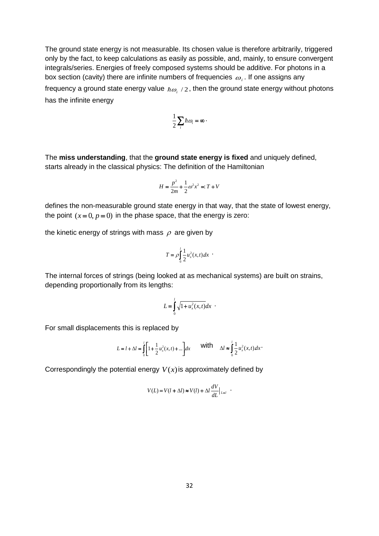The ground state energy is not measurable. Its chosen value is therefore arbitrarily, triggered only by the fact, to keep calculations as easily as possible, and, mainly, to ensure convergent integrals/series. Energies of freely composed systems should be additive. For photons in a box section (cavity) there are infinite numbers of frequencies  $\ket{\omega_i}$ . If one assigns any

frequency a ground state energy value  $\,\hbar\omega_{_{i}}$  /  $2$  , then the ground state energy without photons has the infinite energy

$$
\frac{1}{2}\sum_i\hbar\omega_i=\infty\,\cdot
$$

The **miss understanding**, that the **ground state energy is fixed** and uniquely defined, starts already in the classical physics: The definition of the Hamiltonian

$$
H = \frac{p^2}{2m} + \frac{1}{2}\omega^2 x^2 = T + V
$$

defines the non-measurable ground state energy in that way, that the state of lowest energy, the point  $(x=0, p=0)$  in the phase space, that the energy is zero:

the kinetic energy of strings with mass  $\rho$  are given by

$$
T = \rho \int_0^l \frac{1}{2} u_x^2(x,t) dx
$$

The internal forces of strings (being looked at as mechanical systems) are built on strains, depending proportionally from its lengths:

$$
L = \int_{0}^{l} \sqrt{1 + u_{x}^{2}(x, t)} dx
$$
.

For small displacements this is replaced by

$$
L = l + \Delta l = \int_0^l \left[ 1 + \frac{1}{2} u_x^2(x, t) + \dots \right] dx \quad \text{with} \quad \Delta l \approx \int_0^l \frac{1}{2} u_x^2(x, t) dx
$$

Correspondingly the potential energy  $V(x)$  is approximately defined by

$$
V(L) = V(l + \Delta l) \approx V(l) + \Delta l \frac{dV}{dL}\Big|_{L=l}
$$

.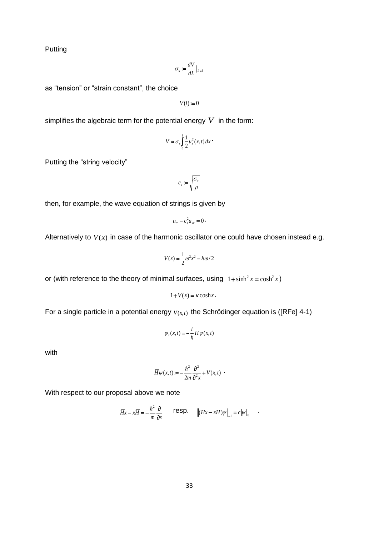Putting

$$
\sigma_s := \frac{dV}{dL}\big|_{L=l}
$$

as "tension" or "strain constant", the choice

 $V(l) := 0$ 

simplifies the algebraic term for the potential energy  $V$  in the form:

$$
V \approx \sigma_s \int_0^l \frac{1}{2} u_x^2(x,t) dx
$$

Putting the "string velocity"

$$
c_s:=\sqrt{\frac{\sigma_s}{\rho}}
$$

then, for example, the wave equation of strings is given by

$$
u_{tt}-c_s^2u_{xx}=0\cdot
$$

Alternatively to  $V(x)$  in case of the harmonic oscillator one could have chosen instead e.g.

$$
V(x) = \frac{1}{2}\omega^2 x^2 - \hbar \omega/2
$$

or (with reference to the theory of minimal surfaces, using  $1 + \sinh^2 x = \cosh^2 x$ )

$$
1 + V(x) = \kappa \cosh x.
$$

For a single particle in a potential energy  $V(x,t)$  the Schrödinger equation is ([RFe] 4-1)

$$
\psi_t(x,t) = -\frac{i}{\hbar} \overline{H} \psi(x,t)
$$

with

$$
\overline{H}\psi(x,t) := -\frac{\hbar^2}{2m}\frac{\partial^2}{\partial x^2} + V(x,t) \; \cdot \;
$$

With respect to our proposal above we note

$$
\overline{H}x - x\overline{H} = -\frac{\hbar^2}{m} \frac{\partial}{\partial x} \qquad \text{resp.} \qquad \left\| (\overline{H}x - x\overline{H})\psi \right\|_{-1} = c \|\psi\|_{0}
$$

.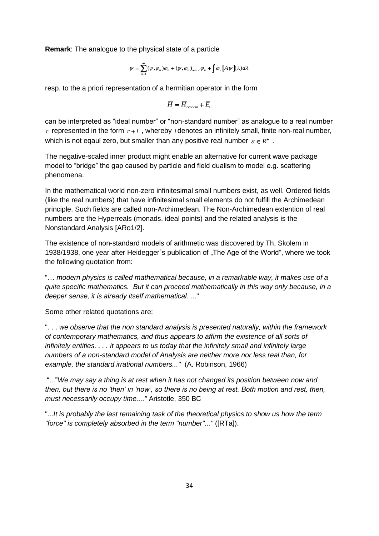**Remark**: The analogue to the physical state of a particle

$$
\psi = \sum_{n=1}^{\infty} (\psi,\varphi_n) \varphi_n + (\psi,\varphi_n)_{-1/2} \varphi_n + \int \varphi_{\lambda} \big[ A \psi \big](\lambda) d\lambda
$$

resp. to the a priori representation of a hermitian operator in the form

$$
\overline{H} = \overline{H}_{renorm} + \overline{E}_0
$$

can be interpreted as "ideal number" or "non-standard number" as analogue to a real number  $r$  represented in the form  $r + i$ , whereby *i* denotes an infinitely small, finite non-real number, which is not eqaul zero, but smaller than any positive real number  $\varepsilon \in R^+$ .

The negative-scaled inner product might enable an alternative for current wave package model to "bridge" the gap caused by particle and field dualism to model e.g. scattering phenomena.

In the mathematical world non-zero infinitesimal small numbers exist, as well. Ordered fields (like the real numbers) that have infinitesimal small elements do not fulfill the Archimedean principle. Such fields are called non-Archimedean. The Non-Archimedean extention of real numbers are the Hyperreals (monads, ideal points) and the related analysis is the Nonstandard Analysis [ARo1/2].

The existence of non-standard models of arithmetic was discovered by Th. Skolem in 1938/1938, one year after Heidegger's publication of "The Age of the World", where we took the following quotation from:

"… *modern physics is called mathematical because, in a remarkable way, it makes use of a quite specific mathematics. But it can proceed mathematically in this way only because, in a deeper sense, it is already itself mathematical.* ..."

Some other related quotations are:

". . . *we observe that the non standard analysis is presented naturally, within the framework of contemporary mathematics, and thus appears to affirm the existence of all sorts of infinitely entities. . . . it appears to us today that the infinitely small and infinitely large numbers of a non-standard model of Analysis are neither more nor less real than, for example, the standard irrational numbers..."* (A. Robinson, 1966)

"..."*We may say a thing is at rest when it has not changed its position between now and then, but there is no 'then' in 'now', so there is no being at rest. Both motion and rest, then, must necessarily occupy time...."* Aristotle, 350 BC

"...*It is probably the last remaining task of the theoretical physics to show us how the term "force" is completely absorbed in the term "number"..."* ([RTa]).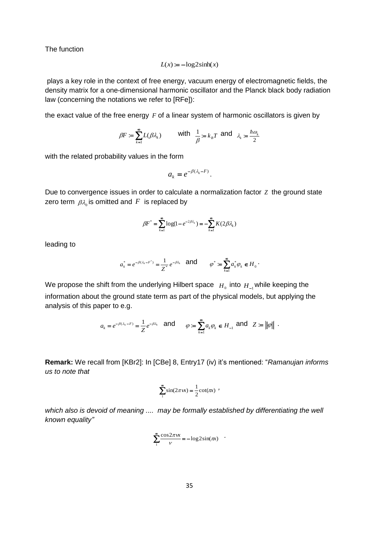The function

$$
L(x) := -\log 2\sinh(x)
$$

plays a key role in the context of free energy, vacuum energy of electromagnetic fields, the density matrix for a one-dimensional harmonic oscillator and the Planck black body radiation law (concerning the notations we refer to [RFe]):

the exact value of the free energy F of a linear system of harmonic oscillators is given by

$$
\beta F := \sum_{k=1}^{\infty} L(\beta \lambda_k) \quad \text{with} \quad \frac{1}{\beta} = k_B T \text{ and } \lambda_k := \frac{\hbar \omega_k}{2}
$$

with the related probability values in the form

$$
a_k = e^{-\beta(\lambda_k - F)}.
$$

Due to convergence issues in order to calculate a normalization factor *Z* the ground state zero term  $\,\beta\lambda_{\rm o}$  is omitted and  $\,F\,$  is replaced by

$$
\beta F^* = \sum_{k=1}^{\infty} \log(1 - e^{-2\beta \lambda_k}) = -\sum_{k=1}^{\infty} K(2\beta \lambda_k)
$$

leading to

$$
a_k^* = e^{-\beta(\lambda_k - F^*)} = \frac{1}{Z^*} e^{-\beta \lambda_k}
$$
 and  $\varphi^* := \sum_{k=1}^{\infty} a_k^* \varphi_k \in H_0$ .

We propose the shift from the underlying Hilbert space  $H_0$  into  $H_{-1}$  while keeping the information about the ground state term as part of the physical models, but applying the analysis of this paper to e.g.

$$
a_k = e^{-\beta(\lambda_k - F)} = \frac{1}{Z} e^{-\beta \lambda_k} \quad \text{and} \quad \varphi := \sum_{k=1}^{\infty} a_k \varphi_k \in H_{-1} \text{ and } Z := ||\varphi|| \enspace .
$$

**Remark:** We recall from [KBr2]: In [CBe] 8, Entry17 (iv) it's mentioned: "*Ramanujan informs us to note that*

$$
\sum_{1}^{\infty} \sin(2\pi x x) = \frac{1}{2} \cot(\pi x)
$$

*which also is devoid of meaning .... may be formally established by differentiating the well known equality"*

$$
\sum_{1}^{\infty} \frac{\cos 2\pi x}{v} = -\log 2\sin(\pi x)
$$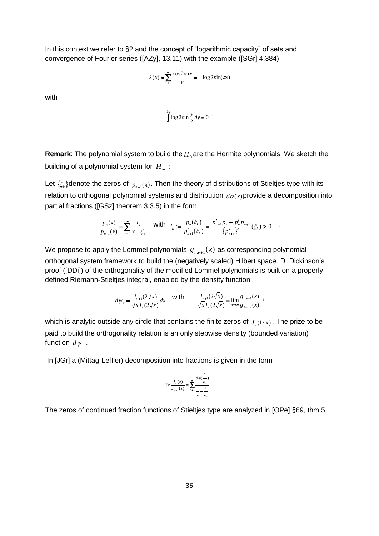In this context we refer to §2 and the concept of "logarithmic capacity" of sets and convergence of Fourier series ([AZy], 13.11) with the example ([SGr] 4.384)

$$
\lambda(x) \approx \sum_{1}^{\infty} \frac{\cos 2\pi x}{v} = -\log 2 \sin(\pi x)
$$

with

$$
\int_{0}^{2\pi} \log 2\sin \frac{y}{2} dy = 0
$$

**Remark**: The polynomial system to build the  $H_0$ are the Hermite polynomials. We sketch the building of a polynomial system for  $H_{-1}^{\phantom{\dag}}$ :

Let  $\{\xi_k\}$ denote the zeros of  $p_{n+1}(x)$ . Then the theory of distributions of Stieltjes type with its relation to orthogonal polynomial systems and distribution  $d\alpha(x)$  provide a decomposition into partial fractions ([GSz] theorem 3.3.5) in the form

$$
\frac{p_n(x)}{p_{n+1}(x)} = \sum_{k=0}^{\infty} \frac{l_k}{x - \xi_k} \quad \text{with} \quad l_k := \frac{p_n(\xi_k)}{p'_{n+1}(\xi_k)} = \frac{p'_{n+1}p_n - p'_n p_{n+1}}{\{p'_{n+1}\}^2}(\xi_k) > 0 \quad .
$$

We propose to apply the Lommel polynomials  $g_{n,\nu+1}(x)$  as corresponding polynomial orthogonal system framework to build the (negatively scaled) Hilbert space. D. Dickinson's proof ([DDi]) of the orthogonality of the modified Lommel polynomials is built on a properly defined Riemann-Stieltjes integral, enabled by the density function

$$
d\psi_{v} = \frac{J_{v+1}(2\sqrt{x})}{\sqrt{x}J_{v}(2\sqrt{x})}dx \quad \text{with} \quad \frac{J_{v+1}(2\sqrt{x})}{\sqrt{x}J_{v}(2\sqrt{x})} = \lim_{n \to \infty} \frac{g_{n,v+1}(x)}{g_{n+1,v}(x)},
$$

which is analytic outside any circle that contains the finite zeros of  $J_{\nu}(1/x)$ . The prize to be paid to build the orthogonality relation is an only stepwise density (bounded variation) function  $d\psi_{_{\mathcal{V}}}$  .

In [JGr] a (Mittag-Leffler) decomposition into fractions is given in the form

$$
2\nu \frac{J_{\nu}(z)}{J_{\nu-1}(z)} = \sum_{n=1}^{\infty} \frac{d\phi(\frac{1}{z_n})}{\frac{1}{z} - \frac{1}{z_n}}
$$

The zeros of continued fraction functions of Stieltjes type are analyzed in [OPe] §69, thm 5.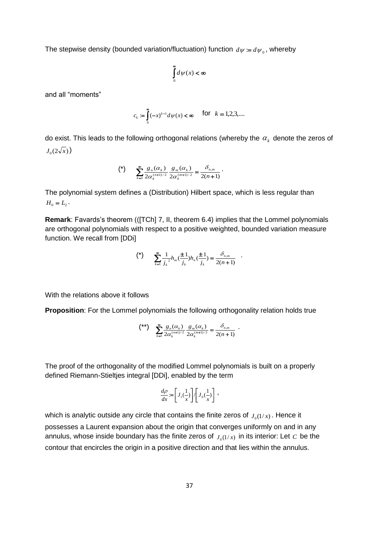The stepwise density (bounded variation/fluctuation) function  $d\psi \coloneqq d{\psi}_{{}_0},$  whereby

$$
\int_{0}^{\infty} d\psi(x) < \infty
$$

and all "moments"

$$
c_k := \int_0^{\infty} (-x)^{k-1} d\psi(x) < \infty \quad \text{for} \quad k = 1, 2, 3, \dots
$$

do exist. This leads to the following orthogonal relations (whereby the  $\, \alpha_{_k} \,$  denote the zeros of  $J_{0}(2\sqrt{x})$ 

$$
(*)\qquad \sum_{k=1}^{\infty}\frac{g_n(\alpha_k)}{2\alpha_k^{(n+1)/2}}\frac{g_m(\alpha_k)}{2\alpha_k^{(m+1)/2}}=\frac{\delta_{n,m}}{2(n+1)}.
$$

The polynomial system defines a (Distribution) Hilbert space, which is less regular than  $H_0 = L_2$ .

**Remark**: Favards's theorem (([TCh] 7, II, theorem 6.4) implies that the Lommel polynomials are orthogonal polynomials with respect to a positive weighted, bounded variation measure function. We recall from [DDi]

$$
(*)\qquad \sum_{k=1}^{\infty}\frac{1}{j_k}h_m(\frac{\pm 1}{j_k})h_n(\frac{\pm 1}{j_k})=\frac{\delta_{n,m}}{2(n+1)}.
$$

With the relations above it follows

**Proposition**: For the Lommel polynomials the following orthogonality relation holds true

$$
\binom{**}{\ast} \sum_{k=1}^{\infty} \frac{g_n(\alpha_k)}{2\alpha_k^{(n+1)/2}} \frac{g_m(\alpha_k)}{2\alpha_k^{(m+1)/2}} = \frac{\delta_{n,m}}{2(n+1)}.
$$

The proof of the orthogonality of the modified Lommel polynomials is built on a properly defined Riemann-Stieltjes integral [DDi], enabled by the term

$$
\frac{d\rho}{dx} := \left[J_1(\frac{1}{x})\right] / \left[J_0(\frac{1}{x})\right] \;,
$$

which is analytic outside any circle that contains the finite zeros of  $J_{\rho(1/x)}$  . Hence it possesses a Laurent expansion about the origin that converges uniformly on and in any annulus, whose inside boundary has the finite zeros of  $J_{\rho(1/x)}$  in its interior: Let  $C$  be the contour that encircles the origin in a positive direction and that lies within the annulus.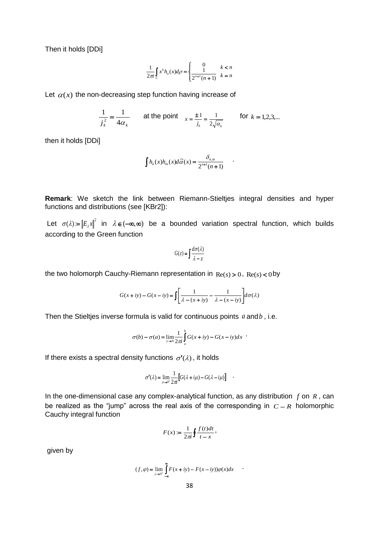Then it holds [DDi]

$$
\frac{1}{2\pi i}\int\limits_{C}x^{k}h_{n}(x)d\rho=\begin{cases}0&k
$$

Let  $\alpha(x)$  the non-decreasing step function having increase of

$$
\frac{1}{j_k^2} = \frac{1}{4\alpha_k}
$$
 at the point  $x = \frac{\pm 1}{j_k} = \frac{1}{2\sqrt{\alpha_k}}$  for  $k = 1, 2, 3,...$ 

then it holds [DDi]

$$
\int h_n(x)h_m(x)d\widetilde{\alpha}(x) = \frac{\delta_{n,m}}{2^{n+1}(n+1)} \qquad \qquad
$$

**Remark**: We sketch the link between Riemann-Stieltjes integral densities and hyper functions and distributions (see [KBr2]):

Let  $\sigma(\lambda) = |E_{\lambda}x|^2$  in  $\lambda \in (-\infty, \infty)$  be a bounded variation spectral function, which builds according to the Green function

$$
G(z) = \int \frac{d\sigma(\lambda)}{\lambda - z}
$$

the two holomorph Cauchy-Riemann representation in  $\text{Re}(s) > 0$ ,  $\text{Re}(s) < 0$  by

$$
G(x+iy) - G(x-iy) = \int \left[ \frac{1}{\lambda - (x+iy)} - \frac{1}{\lambda - (x-iy)} \right] d\sigma(\lambda)
$$

Then the Stieltjes inverse formula is valid for continuous points  $a$  and  $b$ , i.e.

$$
\sigma(b) - \sigma(a) = \lim_{y \to 0} \frac{1}{2\pi i} \int_{a}^{b} G(x + iy) - G(x - iy) dx
$$

If there exists a spectral density functions  $\sigma'(\lambda)$ , it holds

$$
\sigma'(\lambda) = \lim_{\mu \to 0^+} \frac{1}{2\pi} \Big[ G(\lambda + i\mu) - G(\lambda - i\mu) \Big] \quad .
$$

In the one-dimensional case any complex-analytical function, as any distribution  $f$  on  $R$ , can be realized as the "jump" across the real axis of the corresponding in  $C - R$  holomorphic Cauchy integral function

$$
F(x) := \frac{1}{2\pi i} \oint \frac{f(t)dt}{t - x},
$$

given by

$$
(f, \varphi) = \lim_{y \to 0^+} \int_{-\infty}^{\infty} F(x + iy) - F(x - iy) \varphi(x) dx
$$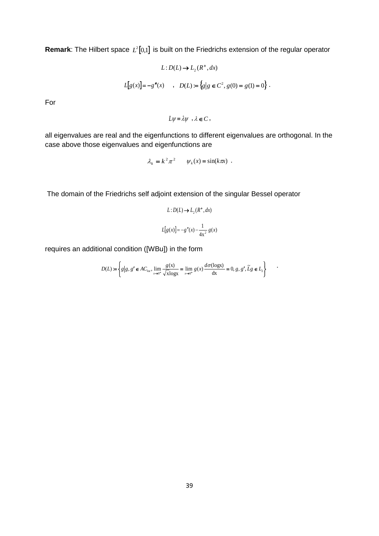**Remark**: The Hilbert space  $L^2[0,1]$  is built on the Friedrichs extension of the regular operator

$$
L: D(L) \to L_2(R^+, dx)
$$
  

$$
L[g(x)] = -g''(x) \qquad , \quad D(L) := \{g | g \in C^2, g(0) = g(1) = 0 \}.
$$
  
For

 $L\psi = \lambda \psi$ ,  $\lambda \in C$ ,

all eigenvalues are real and the eigenfunctions to different eigenvalues are orthogonal. In the case above those eigenvalues and eigenfunctions are

$$
\lambda_k = k^2 \pi^2 \qquad \psi_k(x) = \sin(k \pi x) \enspace .
$$

The domain of the Friedrichs self adjoint extension of the singular Bessel operator

$$
L: D(L) \to L_2(R^+, dx)
$$

$$
L[g(x)] = -g''(x) - \frac{1}{4x^2} g(x)
$$

requires an additional condition ([WBu]) in the form

$$
D(L) := \left\{ g \middle| g, g' \in AC_{loc}, \lim_{x \to 0^+} \frac{g(x)}{\sqrt{x \log x}} = \lim_{x \to 0^+} g(x) \frac{d\sigma(\log x)}{dx} = 0, g, g', \tilde{L}g \in L_2 \right\}
$$

.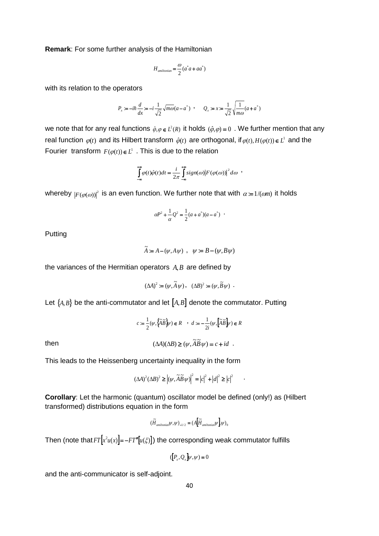**Remark**: For some further analysis of the Hamiltonian

$$
H_{\text{amiltonian}} = \frac{\omega}{2} (a^* a + a a^*)
$$

with its relation to the operators

$$
P_x := -i\hbar \frac{d}{dx} = -i \frac{1}{\sqrt{2}} \sqrt{m\omega} (a - a^*) \quad , \qquad Q_x := x := \frac{1}{\sqrt{2}} \sqrt{\frac{1}{m\omega}} (a + a^*)
$$

we note that for any real functions  $\hat{\varphi}, \varphi \in L^2(R)$  it holds  $(\hat{\varphi}, \varphi) = 0$ . We further mention that any real function  $\varphi(t)$  and its Hilbert transform  $\hat{\varphi}(t)$  are orthogonal, if  $\varphi(t), H(\varphi(t)) \in L^1$  and the Fourier transform  $F(\varphi(t)) \in L^1$ . This is due to the relation

$$
\int_{-\infty}^{+\infty} \varphi(t)\hat{\varphi}(t)dt = \frac{i}{2\pi} \int_{-\infty}^{+\infty} sign(\omega) |F(\varphi(\omega))|^2 d\omega
$$

whereby  $|F(\varphi(\omega))|^2$  is an even function. We further note that with  $\alpha = 1/(\omega m)$  it holds

$$
\alpha P^2 + \frac{1}{\alpha} Q^2 = \frac{1}{2} (a + a^*)(a - a^*)
$$

Putting

$$
\widetilde{A} := A - (\psi, A\psi) \ , \ \ \psi := B - (\psi, B\psi)
$$

the variances of the Hermitian operators *A*,*B* are defined by

$$
(\Delta A)^2 := (\psi, \widetilde{A}\,\psi) \,, \quad (\Delta B)^2 := (\psi, \widetilde{B}\,\psi) \, .
$$

Let  ${A, B}$  be the anti-commutator and let  ${A, B}$  denote the commutator. Putting

$$
\begin{array}{cc} c:=\frac{1}{2}(\psi ,\left\{\widetilde{A}\widetilde{B}\right\}\!\!/\!\!/ )\in R &\quad \ \cdot\ d:= -\frac{1}{2i}(\psi ,\left\[\widetilde{A}\widetilde{B}\right\}\!\!/\!\!/ )\in R\\ \\ (\Delta A)(\Delta B)\geq (\psi ,\widetilde{A}\widetilde{B}\,\psi )=c+id\quad . \end{array}
$$

then

This leads to the Heissenberg uncertainty inequality in the form

$$
(\Delta A)^{2}(\Delta B)^{2} \geq \left|(\psi, \widetilde{A}\widetilde{B}\psi)\right|^{2} = \left|c\right|^{2} + \left|d\right|^{2} \geq \left|c\right|^{2} \quad \cdot
$$

**Corollary**: Let the harmonic (quantum) oscillator model be defined (only!) as (Hilbert transformed) distributions equation in the form

$$
(\tilde{H}_{\mathit{amiltonian}}\psi,\psi)_{-1/2}=(A[\tilde{H}_{\mathit{amiltonian}}\psi]\psi)_{0}
$$

Then (note that  $FT|x^2u(x)|$ = – $FT''[u(\xi)]$ ) the corresponding weak commutator fulfills

$$
([P_x,Q_x]\psi,\psi)=0
$$

and the anti-communicator is self-adjoint.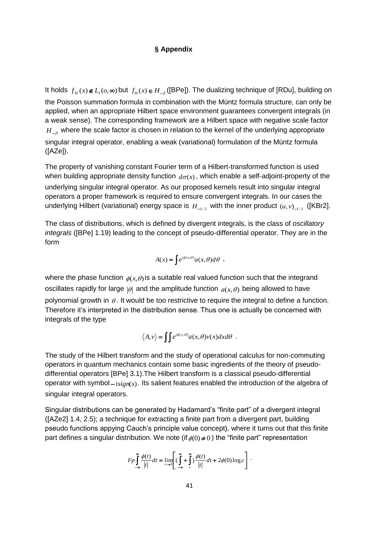# **§ Appendix**

It holds  $f_H(x) \notin L_1(o,\infty)$  but  $f_H(x) \in H_{-\beta}$  ([BPe]). The dualizing technique of [RDu], building on the Poisson summation formula in combination with the Müntz formula structure, can only be applied, when an appropriate Hilbert space environment guarantees convergent integrals (in a weak sense). The corresponding framework are a Hilbert space with negative scale factor  $H_{-\beta}^{\phantom{\dag}}$  where the scale factor is chosen in relation to the kernel of the underlying appropriate singular integral operator, enabling a weak (variational) formulation of the Müntz formula  $(IAZel).$ 

The property of vanishing constant Fourier term of a Hilbert-transformed function is used when building appropriate density function  $d\sigma(x)$ , which enable a self-adjoint-property of the underlying singular integral operator. As our proposed kernels result into singular integral operators a proper framework is required to ensure convergent integrals. In our cases the underlying Hilbert (variational) energy space is  $H_{1/2}$  with the inner product  $(u, v)_{-1/2}$  ([KBr2].

The class of distributions, which is defined by divergent integrals, is the class of *oscillatory integrals* ([BPe] 1.19) leading to the concept of pseudo-differential operator. They are in the form

$$
A(x) = \int e^{i\phi(x,\theta)} a(x,\theta) d\theta ,
$$

where the phase function  $\phi(x, \theta)$  is a suitable real valued function such that the integrand oscillates rapidly for large  $|\theta|$  and the amplitude function  $a(x, \theta)$  being allowed to have polynomial growth in  $\theta$ . It would be too restrictive to require the integral to define a function. Therefore it's interpreted in the distribution sense. Thus one is actually be concerned with integrals of the type

$$
\langle A, v \rangle = \iint e^{i\phi(x,\theta)} a(x,\theta)v(x) dx d\theta .
$$

The study of the Hilbert transform and the study of operational calculus for non-commuting operators in quantum mechanics contain some basic ingredients of the theory of pseudodifferential operators [BPe] 3.1).The Hilbert transform is a classical pseudo-differential operator with symbol–*isign*(s). Its salient features enabled the introduction of the algebra of singular integral operators.

Singular distributions can be generated by Hadamard's "finite part" of a divergent integral ([AZe2] 1.4, 2.5); a technique for extracting a finite part from a divergent part, building pseudo functions appying Cauch's principle value concept), where it turns out that this finite part defines a singular distribution. We note (if  $\phi(0) \neq 0$  ) the "finite part" representation

$$
Fp\int_{-\infty}^{\infty}\frac{\phi(t)}{|t|}dt = \lim_{\varepsilon\to 0}\left[\left(\int_{-\infty}^{\infty} + \int_{\varepsilon}^{\infty}\right)\frac{\phi(t)}{|t|}dt + 2\phi(0)\log\varepsilon\right].
$$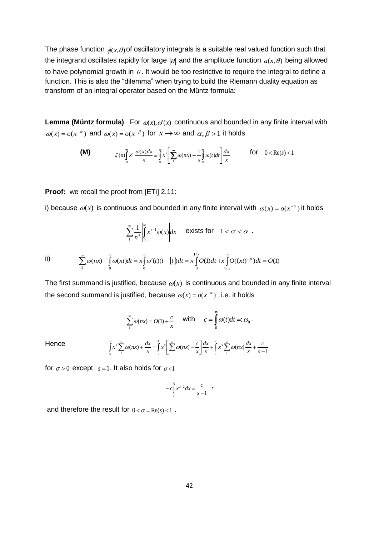The phase function  $\phi(x,\theta)$  of oscillatory integrals is a suitable real valued function such that the integrand oscillates rapidly for large  $|\theta|$  and the amplitude function  $a(x, \theta)$  being allowed to have polynomial growth in  $\theta$ . It would be too restrictive to require the integral to define a function. This is also the "dilemma" when trying to build the Riemann duality equation as transform of an integral operator based on the Müntz formula:

**Lemma (Müntz formula)**: For  $\omega(x), \omega'(x)$  continuous and bounded in any finite interval with  $\omega(x) = o(x^{-\alpha})$  and  $\omega(x) = o(x^{-\beta})$  for  $x \to \infty$  and  $\alpha, \beta > 1$  it holds

$$
\textbf{(M)} \qquad \qquad \zeta(s) \int_{0}^{\infty} x^s \, \frac{\omega(x) dx}{x} = \int_{0}^{\infty} x^s \left[ \sum_{n=1}^{\infty} \omega(nx) - \frac{1}{x} \int_{0}^{\infty} \omega(t) dt \right] \frac{dx}{x} \qquad \text{for} \quad 0 < \text{Re}(s) < 1.
$$

**Proof:** we recall the proof from [ETi] 2.11:

i) because  $\omega(x)$  is continuous and bounded in any finite interval with  $\omega(x) = o(x^{-\alpha})$  it holds

$$
\sum_{1}^{\infty} \frac{1}{n^s} \left| \int_{0}^{\infty} x^{s-1} \omega(x) \right| dx \quad \text{exists for} \quad 1 < \sigma < \alpha.
$$

ii) 
$$
\sum_{1}^{\infty} \omega(nx) - \int_{0}^{\infty} \omega(xt)dt = x \int_{0}^{\infty} \omega'(t)(t - [t])dt = x \int_{0}^{1/x} O(1)dt + x \int_{1/x}^{\infty} O((xt)^{-\beta})dt = O(1)
$$

The first summand is justified, because  $\omega(x)$  is continuous and bounded in any finite interval the second summand is justified, because  $\omega(x) = o(x^{-\alpha})$ , i.e. it holds

$$
\sum_{1}^{\infty} \omega(nx) = O(1) + \frac{c}{x} \quad \text{with} \quad c = \int_{0}^{\infty} \omega(t)dt =: \omega_0.
$$

$$
\int_{0}^{\infty} x^s \sum_{1}^{\infty} \omega(nx) + \frac{dx}{x} = \int_{0}^{1} x^s \left[ \sum_{1}^{\infty} \omega(nx) - \frac{c}{x} \right] \frac{dx}{x} + \int_{1}^{\infty} x^s \sum_{1}^{\infty} \omega(nx) \frac{dx}{x} + \frac{c}{s - x}
$$

for  $\sigma > 0$  except  $s = 1$ . It also holds for  $\sigma < 1$ 

**Hence** 

$$
-c\int_{1}^{\infty} x^{s-2} dx = \frac{c}{s-1} \quad ,
$$

1

and therefore the result for  $0\!<\!\sigma\!=\!\text{Re}(s)\!<\!1$  .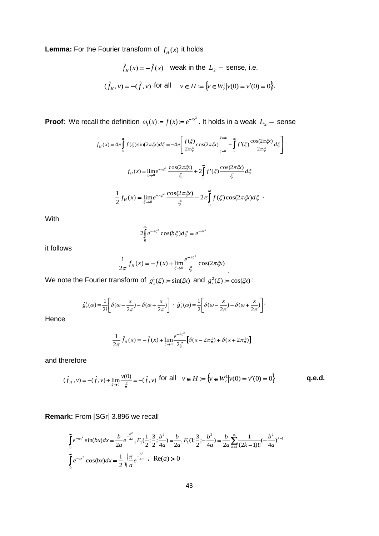**Lemma:** For the Fourier transform of  $f_H(x)$  it holds

$$
\hat{f}_H(x) = -\hat{f}(x) \quad \text{weak in the } L_2 \text{ -- sense, i.e.}
$$
\n
$$
(\hat{f}_H, v) = -(\hat{f}, v) \text{ for all } v \in H := \{v \in W_2^1 | v(0) = v'(0) = 0\}.
$$

**Proof**: We recall the definition  $\omega_1(x) = f(x) = e^{-\pi^2}$ 

It the definition 
$$
\omega_1(x) := f(x) := e^{-\pi x^2}
$$
. It holds in a weak  $L_2$  – sense  
\n
$$
f_H(x) = 4\pi \int_0^{\pi} f(\xi) \sin(2\pi \xi x) d\xi = -4\pi \left[ \frac{f(\xi)}{2\pi \xi} \cos(2\pi \xi x) \Big|_{\xi=0}^{\xi=\infty} - \int_0^{\pi} f'(\xi) \frac{\cos(2\pi \xi x)}{2\pi \xi} d\xi \right]
$$
\n
$$
f_H(x) = \lim_{\xi \to 0} e^{-\pi \xi^2} \frac{\cos(2\pi \xi x)}{\xi} + 2 \int_0^{\pi} f'(\xi) \frac{\cos(2\pi \xi x)}{\xi} d\xi
$$
\n
$$
\frac{1}{2} f_H(x) = \lim_{\xi \to 0} e^{-\pi \xi^2} \frac{\cos(2\pi \xi x)}{\xi} - 2\pi \int_0^{\pi} f(\xi) \cos(2\pi \xi x) d\xi
$$

With

$$
2\int_{0}^{\infty}e^{-\pi\xi^2}\cos(b\xi)d\xi=e^{-\pi x^2}
$$

it follows

$$
\frac{1}{2\pi} f_H(x) = -f(x) + \lim_{\xi \to 0} \frac{e^{-\pi \xi^2}}{\xi} \cos(2\pi \xi x) .
$$

We note the Fourier transform of  $g_x^1(\xi) = \sin(\xi x)$  and  $g_x^2(\xi) = \cos(\xi x)$ :

$$
\hat{g}_x^1(\omega) = \frac{1}{2i} \left[ \delta(\omega - \frac{x}{2\pi}) - \delta(\omega + \frac{x}{2\pi}) \right] \ , \quad \hat{g}_x^2(\omega) = \frac{1}{2} \left[ \delta(\omega - \frac{x}{2\pi}) - \delta(\omega + \frac{x}{2\pi}) \right].
$$

Hence

$$
\frac{1}{2\pi}\hat{f}_H(x) = -\hat{f}(x) + \lim_{\xi \to 0} \frac{e^{-\pi\xi^2}}{2\xi} \left[ \delta(x - 2\pi\xi) + \delta(x + 2\pi\xi) \right]
$$

and therefore

$$
(\hat{f}_H, v) = -(\hat{f}, v) + \lim_{\xi \to 0} \frac{v(0)}{\xi} = -(\hat{f}, v) \text{ for all } v \in H := \{v \in W_2^1 | v(0) = v'(0) = 0\}
$$
 q.e.d.

**Remark:** From [SGr] 3.896 we recall

$$
\int_{0}^{\infty} e^{-ax^{2}} \sin(bx) dx = \frac{b}{2a} e^{-\frac{b^{2}}{4a}} {}_{1}F_{1}(\frac{1}{2}; \frac{3}{2}; \frac{b^{2}}{4a}) = \frac{b}{2a} {}_{1}F_{1}(1; \frac{3}{2}; -\frac{b^{2}}{4a}) = \frac{b}{2a} \sum_{k=1}^{\infty} \frac{1}{(2k-1)!!} (-\frac{b^{2}}{4a})^{k-1}
$$

$$
\int_{0}^{\infty} e^{-ax^{2}} \cos(bx) dx = \frac{1}{2} \sqrt{\frac{\pi}{a}} e^{-\frac{b^{2}}{4a}}, \quad \text{Re}(a) > 0
$$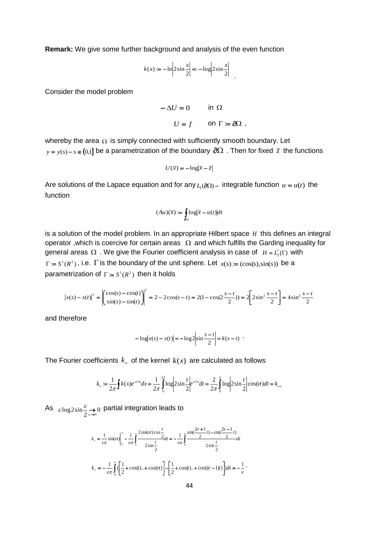**Remark:** We give some further background and analysis of the even function

$$
k(x) := -\ln\left|2\sin\frac{x}{2}\right| = -\log\left|2\sin\frac{x}{2}\right|
$$

Consider the model problem

$$
-\Delta U = 0 \qquad \text{in } \Omega
$$

$$
U = f \qquad \text{on } \Gamma := \partial\Omega \ ,
$$

whereby the area  $\Omega$  is simply connected with sufficiently smooth boundary. Let  $y = y(s) - s \in (0,1]$  be a parametrization of the boundary  $\partial \Omega$  . Then for fixed  $\bar{z}$  the functions

$$
U(\bar{x}) = -\log|\bar{x} - \bar{z}|
$$

Are solutions of the Lapace equation and for any  $L_1(\partial\Omega)$  – integrable function  $u = u(t)$  the function

$$
(Au)(\bar{x}) := \oint_{\partial\Omega} \log |\bar{x} - u(t)| dt
$$

is a solution of the model problem. In an appropriate Hilbert space *H* this defines an integral operator, which is coercive for certain areas  $\Omega$  and which fulfills the Garding inequality for general areas  $\Omega$  . We give the Fourier coefficient analysis in case of  $H = L_2^*(\Gamma)$  with  $\Gamma = S^1(R^2)$ , i.e.  $\Gamma$  is the boundary of the unit sphere. Let  $x(s) = (\cos(s), \sin(s))$  be a parametrization of  $\Gamma := S^1(R^2)$  then it holds

$$
\left| x(s) - x(t) \right|^2 = \left| \begin{pmatrix} \cos(s) - \cos(t) \\ \sin(s) - \sin(t) \end{pmatrix} \right|^2 = 2 - 2\cos(s - t) = 2(1 - \cos(2\frac{s - t}{2})) = 2\left[ 2\sin^2\frac{s - t}{2} \right] = 4\sin^2\frac{s - t}{2}
$$

and therefore

$$
-\log|x(s) - x(t)| = -\log 2 \left|\sin \frac{s-t}{2}\right| = k(s-t)
$$

The Fourier coefficients  $k_{_{\rm F}}$  of the kernel  $k(x)$  are calculated as follows

$$
k_v := \frac{1}{2\pi} \oint k(x)e^{-i\alpha x} dx = \frac{1}{2\pi} \int_0^{2\pi} \log \left| 2\sin \frac{t}{2} \right| e^{-i\alpha t} dt = \frac{2}{2\pi} \int_0^{\pi} \log \left| 2\sin \frac{t}{2} \right| \cos(\alpha t) dt = k_{-v}
$$

As  $\varepsilon \log 2 \sin \frac{\varepsilon}{2} \rightarrow 0$  $\varepsilon$ log $2\sin \frac{\varepsilon}{2} \rightarrow 0$  partial integration leads to

$$
k_{v} = \frac{1}{v\pi} \sin(u t) \Big|_{0}^{\pi} - \frac{1}{v\pi} \int_{0}^{\pi} \frac{2 \sin(u t) \cos\frac{t}{2}}{2 \sin\frac{t}{2}} dt = -\frac{1}{v\pi} \int_{0}^{\pi} \frac{\sin(\frac{2v+1}{2}t) - \sin(\frac{2v-1}{2}t)}{2 \sin\frac{t}{2}} dt
$$

$$
k_{v} = -\frac{1}{v\pi} \int_{0}^{\pi} \left( \frac{1}{2} + \cos(t) \cdot \cos(u t) \right) - \left[ \frac{1}{2} + \cos(t) \cdot \cos((v-1)t) \right] dt = -\frac{1}{v}.
$$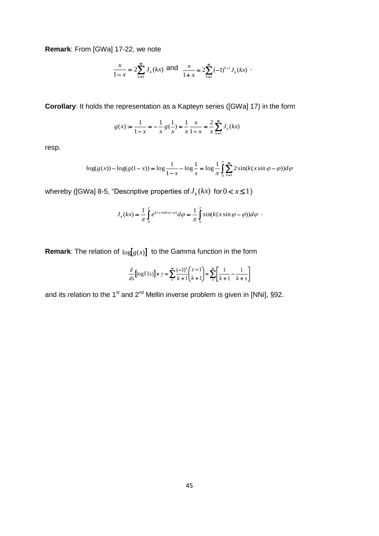**Remark**: From [GWa] 17-22, we note

$$
\frac{x}{1-x} = 2\sum_{k=1}^{\infty} J_k(kx) \text{ and } \frac{x}{1+x} = 2\sum_{k=1}^{\infty} (-1)^{k-1} J_k(kx) .
$$

**Corollary**: It holds the representation as a Kapteyn series ([GWa] 17) in the form

$$
g(x) := \frac{1}{1-x} = -\frac{1}{x} g\left(\frac{1}{x}\right) = \frac{1}{x} \frac{x}{1-x} = \frac{2}{x} \sum_{k=1}^{\infty} J_k(kx)
$$

resp.

$$
\log(g(x)) - \log(g(1-x)) = \log \frac{1}{1-x} - \log \frac{1}{x} = \log \frac{1}{\pi} \int_{0}^{\pi} \sum_{k=1}^{\infty} 2\sin(k(x\sin\varphi - \varphi))d\varphi
$$

whereby ([GWa] 8-5, "Descriptive properties of  $J_k(kx)$  for  $0 < x \le 1$  )

$$
J_k(kx) = \frac{1}{\pi} \int_0^{\pi} e^{k(x \sinh \varphi - \varphi)} d\varphi = \frac{1}{\pi} \int_0^{\pi} \sin(k(x \sin \varphi - \varphi)) d\varphi
$$

**Remark**: The relation of  $log[g(x)]$  to the Gamma function in the form

$$
\frac{d}{ds} [\log \Gamma(s)] + \gamma = \sum_{0}^{\infty} \frac{(-1)^k}{k+1} {s-1 \choose k+1} = \sum_{0}^{\infty} \left[ \frac{1}{k+1} - \frac{1}{k+s} \right]
$$

and its relation to the 1<sup>st</sup> and 2<sup>nd</sup> Mellin inverse problem is given in [NNi], §92.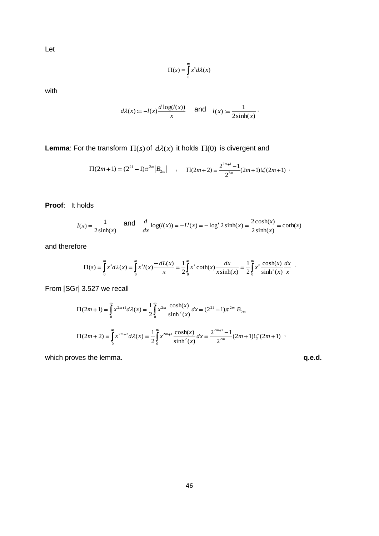Let

$$
\Pi(s) = \int_{0}^{\infty} x^{s} d\lambda(x)
$$

with

$$
d\lambda(x) := -l(x)\frac{d\log(l(x))}{x} \quad \text{and} \quad l(x) := \frac{1}{2\sinh(x)}.
$$

**Lemma**: For the transform  $\Pi(s)$  of  $d\lambda(x)$  it holds  $\Pi(0)$  is divergent and

$$
\Pi(2m+1) = (2^{21} - 1)\pi^{2m} |B_{2m}| \qquad , \qquad \Pi(2m+2) = \frac{2^{2m+1} - 1}{2^{2m}} (2m+1)! \zeta(2m+1) \quad .
$$

**Proof**: It holds

$$
l(x) = {1 \over 2\sinh(x)}
$$
 and  ${d \over dx} \log(l(x)) = -L'(x) = -\log' 2\sinh(x) = {2\cosh(x) \over 2\sinh(x)} = \coth(x)$ 

and therefore

$$
\Pi(s) = \int_{0}^{\infty} x^{s} d\lambda(x) = \int_{0}^{\infty} x^{s} I(x) \frac{-dL(x)}{x} = \frac{1}{2} \int_{0}^{\infty} x^{s} \coth(x) \frac{dx}{x \sinh(x)} = \frac{1}{2} \int_{0}^{\infty} x^{s} \frac{\cosh(x)}{\sinh^{2}(x)} \frac{dx}{x}.
$$

From [SGr] 3.527 we recall

$$
\Pi(2m+1) = \int_{0}^{\infty} x^{2m+1} d\lambda(x) = \frac{1}{2} \int_{0}^{\infty} x^{2m} \frac{\cosh(x)}{\sinh^{2}(x)} dx = (2^{21} - 1)\pi^{2m} |B_{2m}|
$$
  

$$
\Pi(2m+2) = \int_{0}^{\infty} x^{2m+2} d\lambda(x) = \frac{1}{2} \int_{0}^{\infty} x^{2m+1} \frac{\cosh(x)}{\sinh^{2}(x)} dx = \frac{2^{2m+1} - 1}{2^{2m}} (2m+1)! \zeta(2m+1) ,
$$

which proves the lemma. **q.e.d. q.e.d.**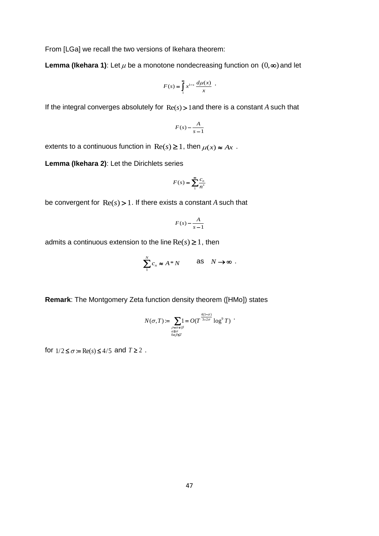From [LGa] we recall the two versions of Ikehara theorem:

**Lemma (Ikehara 1)**: Let  $\mu$  be a monotone nondecreasing function on  $(0, \infty)$  and let

$$
F(s) = \int_{1}^{\infty} x^{1-s} \frac{d\mu(x)}{x} .
$$

If the integral converges absolutely for  $\text{Re}(s)$  > 1 and there is a constant A such that

$$
F(s) - \frac{A}{s-1}
$$

extents to a continuous function in  $\text{Re}(s) \geq 1$ , then  $\mu(x) \approx Ax$ .

**Lemma (Ikehara 2)**: Let the Dirichlets series

$$
F(s) = \sum_{n=1}^{\infty} \frac{c_n}{n^s}
$$

be convergent for  $\text{Re}(s) > 1$ . If there exists a constant A such that

$$
F(s) - \frac{A}{s-1}
$$

admits a continuous extension to the line  $\text{Re}(s) \geq 1$ , then

$$
\sum_{1}^{N} c_n \approx A^* N \qquad \text{as} \quad N \to \infty .
$$

**Remark**: The Montgomery Zeta function density theorem ([HMo]) states

$$
N(\sigma, T) := \sum_{\substack{\rho = \alpha + i\beta \\ \alpha \ge \sigma \\ 0 < \beta \le T}} 1 = O(T^{\frac{4(1-\sigma)}{3-2\sigma}} \log^{\circ} T) .
$$

for  $1/2 \le \sigma = \text{Re}(s) \le 4/5$  and  $T \ge 2$ .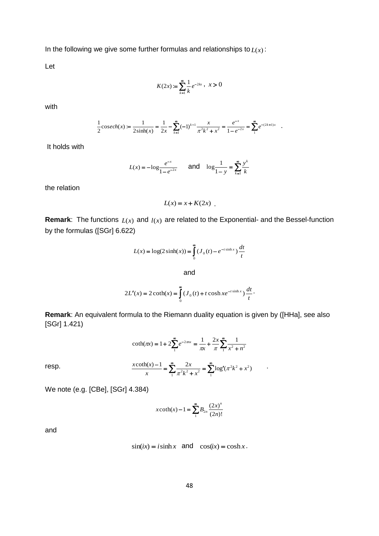In the following we give some further formulas and relationships to *L*(*x*) :

Let

$$
K(2x) := \sum_{k=1}^{\infty} \frac{1}{k} e^{-2kx}, \quad x > 0
$$

with

$$
\frac{1}{2}\cosech(x) := \frac{1}{2\sinh(x)} = \frac{1}{2x} - \sum_{k=1}^{\infty} (-1)^{k-1} \frac{x}{\pi^2 k^2 + x^2} = \frac{e^{-x}}{1 - e^{-2x}} = \sum_{k=1}^{\infty} e^{-(2k+1)x}
$$

It holds with

$$
L(x) = -\log \frac{e^{-x}}{1 - e^{-2x}} \quad \text{and} \quad \log \frac{1}{1 - y} = \sum_{k=1}^{\infty} \frac{y^k}{k}
$$

the relation

$$
L(x) = x + K(2x) .
$$

**Remark:** The functions  $L(x)$  and  $l(x)$  are related to the Exponential- and the Bessel-function by the formulas ([SGr] 6.622)

$$
L(x) = \log(2\sinh(x)) = \int_{0}^{\infty} (J_0(t) - e^{-t\sinh x}) \frac{dt}{t}
$$

and

$$
2L'(x) = 2\coth(x) = \int_{0}^{\infty} (J_0(t) + t\cosh x e^{-t\sinh x}) \frac{dt}{t}.
$$

**Remark**: An equivalent formula to the Riemann duality equation is given by ([HHa], see also [SGr] 1.421)

$$
\coth(\pi x) = 1 + 2\sum_{1}^{\infty} e^{-2\pi nx} = \frac{1}{\pi x} + \frac{2x}{\pi} \sum_{1}^{\infty} \frac{1}{x^2 + n^2}
$$

$$
\frac{x\coth(x) - 1}{x} = \sum_{1}^{\infty} \frac{2x}{\pi^2 k^2 + x^2} = \sum_{1}^{\infty} \log'(\pi^2 k^2 + x^2)
$$

.

We note (e.g. [CBe], [SGr] 4.384)

$$
x \coth(x) - 1 = \sum_{1}^{\infty} B_{2n} \frac{(2x)^n}{(2n)!}
$$

and

resp.

$$
sin(ix) = i sinh x
$$
 and  $cos(ix) = cosh x$ .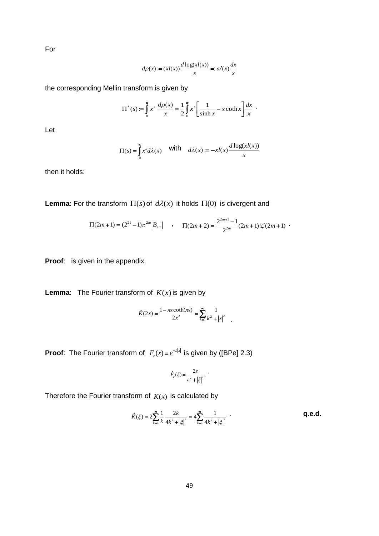For

$$
d\rho(x) := (xl(x)) \frac{d \log(xl(x))}{x} =: \omega'(x) \frac{dx}{x}
$$

the corresponding Mellin transform is given by

$$
\Pi^*(s) := \int_0^\infty x^s \, \frac{d\rho(x)}{x} = \frac{1}{2} \int_0^\infty x^s \left[ \frac{1}{\sinh x} - x \coth x \right] \frac{dx}{x} .
$$

Let

$$
\Pi(s) = \int_0^\infty x^s d\lambda(x) \quad \text{with} \quad d\lambda(x) := -x l(x) \frac{d \log(x l(x))}{x}
$$

then it holds:

**Lemma**: For the transform  $\Pi(s)$  of  $d\lambda(x)$  it holds  $\Pi(0)$  is divergent and

$$
\Pi(2m+1) = (2^{21} - 1)\pi^{2m} |B_{2m}| \qquad , \qquad \Pi(2m+2) = \frac{2^{2m+1} - 1}{2^{2m}} (2m+1)! \zeta(2m+1) \quad .
$$

**Proof:** is given in the appendix.

**Lemma**: The Fourier transform of *K*(*x*) is given by

$$
\hat{K}(2x) = \frac{1 - \pi x \coth(\pi x)}{2x^2} = \sum_{k=1}^{\infty} \frac{1}{k^2 + |x|^2}
$$

**Proof:** The Fourier transform of  $F_c(x) = e^{-\epsilon|x}$  $E_{\varepsilon}(x) = e^{-\varepsilon |x|}$  is given by ([BPe] 2.3)

$$
\hat{F}_{\varepsilon}(\xi) = \frac{2\varepsilon}{\varepsilon^2 + |\xi|^2} \quad .
$$

Therefore the Fourier transform of *K*(*x*) is calculated by

$$
\hat{K}(\xi) = 2 \sum_{k=1}^{\infty} \frac{1}{k} \frac{2k}{4k^2 + |\xi|^2} = 4 \sum_{k=1}^{\infty} \frac{1}{4k^2 + |\xi|^2}.
$$

.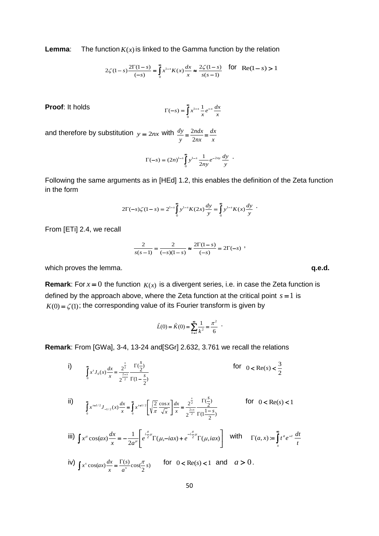**Lemma**: The function  $K(x)$  is linked to the Gamma function by the relation

$$
2\zeta(1-s)\frac{2\Gamma(1-s)}{(-s)} = \int_{0}^{\infty} x^{1-s} K(x) \frac{dx}{x} \approx \frac{2\zeta(1-s)}{s(s-1)}
$$
 for Re(1-s) > 1

**Proof**: It holds

$$
\Gamma(-s) = \int_0^\infty x^{1-s} \frac{1}{x} e^{-x} \frac{dx}{x}
$$

and therefore by substitution  $y = 2nx$  with *x dx nx ndx y*  $\frac{dy}{y} = \frac{2n dx}{2nx} =$ 2

$$
\Gamma(-s) = (2n)^{1-s} \int_{0}^{\infty} y^{1-s} \frac{1}{2ny} e^{-2ny} \frac{dy}{y} .
$$

Following the same arguments as in [HEd] 1.2, this enables the definition of the Zeta function in the form

$$
2\Gamma(-s)\zeta(1-s) = 2^{1-s}\int_{0}^{\infty} y^{1-s} K(2x) \frac{dy}{y} = \int_{0}^{\infty} y^{1-s} K(x) \frac{dy}{y} .
$$

From [ETi] 2.4, we recall

$$
\frac{2}{s(s-1)} = \frac{2}{(-s)(1-s)} \approx \frac{2\Gamma(1-s)}{(-s)} = 2\Gamma(-s)
$$

which proves the lemma. **q.e.d. q.e.d.** 

**Remark**: For  $x = 0$  the function  $K(x)$  is a divergent series, i.e. in case the Zeta function is defined by the approach above, where the Zeta function at the critical point  $s = 1$  is  $K(0) = \zeta(1)$ ; the corresponding value of its Fourier transform is given by

$$
\hat{L}(0) = \hat{K}(0) = \sum_{k=1}^{\infty} \frac{1}{k^2} = \frac{\pi^2}{6} .
$$

**Remark**: From [GWa], 3-4, 13-24 and[SGr] 2.632, 3.761 we recall the relations

i) ׆֚֚  $\frac{-s}{2}$   $\Gamma(1 =$  $\int_{0}^{x} \frac{3}{x} \cdot \frac{6}{x} dx$   $\int_{0}^{2} \frac{2}{2} dx$ 2  $\int_0^{(x)} x^{-\frac{2-s}{2}} \Gamma(1-\frac{s}{2})$  $\frac{1}{2}$ 2  $f(x) \frac{dx}{x} = \frac{2^2}{x^2} \frac{1}{x^2} \frac{1}{x^2}$ *s x*  $x^{s} J_{0}(x) \frac{dx}{x} = \frac{2^{2}}{2-s}$ *s s*  $\Gamma$  $\Gamma(\frac{3}{2})$  for 2  $0 < \text{Re}(s) < \frac{3}{2}$ 

ii) 
$$
\int_{0}^{\infty} x^{s+1/2} J_{-1/2}(x) \frac{dx}{x} = \int_{0}^{\infty} x^{s+1/2} \left[ \sqrt{\frac{2}{\pi}} \frac{\cos x}{\sqrt{x}} \right] \frac{dx}{x} = \frac{2^{\frac{s}{2}}}{2^{\frac{2-s}{2}}} \frac{\Gamma(\frac{s}{2})}{\Gamma(\frac{1-s}{2})}
$$
 for  $0 < \text{Re}(s) < 1$ 

$$
\text{iii)} \int x^{\mu} \cos(ax) \frac{dx}{x} = -\frac{1}{2a^{\mu}} \left[ e^{\frac{i\pi}{2}\mu} \Gamma(\mu, -iax) + e^{-i\frac{\pi}{2}\mu} \Gamma(\mu, iax) \right] \quad \text{with} \quad \Gamma(a, x) := \int_{x}^{\infty} t^{a} e^{-t} \frac{dt}{t}
$$

iv) 
$$
\int x^s \cos(ax) \frac{dx}{x} = \frac{\Gamma(s)}{a^s} \cos(\frac{\pi}{2}s)
$$
 for  $0 < \text{Re}(s) < 1$  and  $a > 0$ .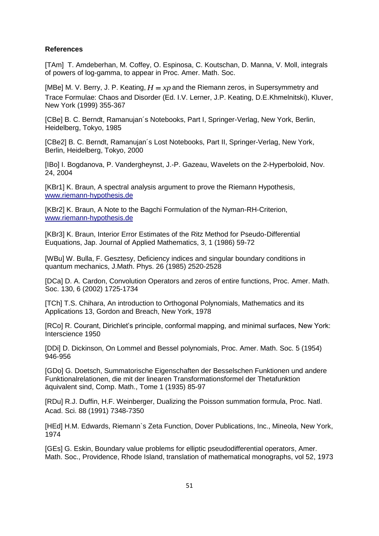### **References**

[TAm] T. Amdeberhan, M. Coffey, O. Espinosa, C. Koutschan, D. Manna, V. Moll, integrals of powers of log-gamma, to appear in Proc. Amer. Math. Soc.

[MBe] M. V. Berry, J. P. Keating,  $H = xp$  and the Riemann zeros, in Supersymmetry and Trace Formulae: Chaos and Disorder (Ed. I.V. Lerner, J.P. Keating, D.E.Khmelnitski), Kluver, New York (1999) 355-367

[CBe] B. C. Berndt, Ramanujan´s Notebooks, Part I, Springer-Verlag, New York, Berlin, Heidelberg, Tokyo, 1985

[CBe2] B. C. Berndt, Ramanujan´s Lost Notebooks, Part II, Springer-Verlag, New York, Berlin, Heidelberg, Tokyo, 2000

[IBo] I. Bogdanova, P. Vandergheynst, J.-P. Gazeau, Wavelets on the 2-Hyperboloid, Nov. 24, 2004

[KBr1] K. Braun, A spectral analysis argument to prove the Riemann Hypothesis, [www.riemann-hypothesis.de](http://www.riemann-hypothesis.de/)

[KBr2] K. Braun, A Note to the Bagchi Formulation of the Nyman-RH-Criterion, [www.riemann-hypothesis.de](http://www.riemann-hypothesis.de/)

[KBr3] K. Braun, Interior Error Estimates of the Ritz Method for Pseudo-Differential Euquations, Jap. Journal of Applied Mathematics, 3, 1 (1986) 59-72

[WBu] W. Bulla, F. Gesztesy, Deficiency indices and singular boundary conditions in quantum mechanics, J.Math. Phys. 26 (1985) 2520-2528

[DCa] D. A. Cardon, Convolution Operators and zeros of entire functions, Proc. Amer. Math. Soc. 130, 6 (2002) 1725-1734

[TCh] T.S. Chihara, An introduction to Orthogonal Polynomials, Mathematics and its Applications 13, Gordon and Breach, New York, 1978

[RCo] R. Courant, Dirichlet's principle, conformal mapping, and minimal surfaces, New York: Interscience 1950

[DDi] D. Dickinson, On Lommel and Bessel polynomials, Proc. Amer. Math. Soc. 5 (1954) 946-956

[GDo] G. Doetsch, Summatorische Eigenschaften der Besselschen Funktionen und andere Funktionalrelationen, die mit der linearen Transformationsformel der Thetafunktion äquivalent sind, Comp. Math., Tome 1 (1935) 85-97

[RDu] R.J. Duffin, H.F. Weinberger, Dualizing the Poisson summation formula, Proc. Natl. Acad. Sci. 88 (1991) 7348-7350

[HEd] H.M. Edwards, Riemann`s Zeta Function, Dover Publications, Inc., Mineola, New York, 1974

[GEs] G. Eskin, Boundary value problems for elliptic pseudodifferential operators, Amer. Math. Soc., Providence, Rhode Island, translation of mathematical monographs, vol 52, 1973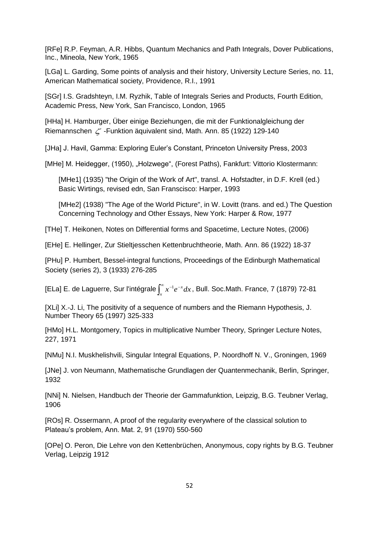[RFe] R.P. Feyman, A.R. Hibbs, Quantum Mechanics and Path Integrals, Dover Publications, Inc., Mineola, New York, 1965

[LGa] L. Garding, Some points of analysis and their history, University Lecture Series, no. 11, American Mathematical society, Providence, R.I., 1991

[SGr] I.S. Gradshteyn, I.M. Ryzhik, Table of Integrals Series and Products, Fourth Edition, Academic Press, New York, San Francisco, London, 1965

[HHa] H. Hamburger, Über einige Beziehungen, die mit der Funktionalgleichung der Riemannschen  $\zeta$  -Funktion äquivalent sind, Math. Ann. 85 (1922) 129-140

[JHa] J. Havil, Gamma: Exploring Euler's Constant, Princeton University Press, 2003

[MHe] M. Heidegger, (1950), "Holzwege", (Forest Paths), Fankfurt: Vittorio Klostermann:

[MHe1] (1935) "the Origin of the Work of Art", transl, A. Hofstadter, in D.F. Krell (ed.) Basic Wirtings, revised edn, San Franscisco: Harper, 1993

[MHe2] (1938) "The Age of the World Picture", in W. Lovitt (trans. and ed.) The Question Concerning Technology and Other Essays, New York: Harper & Row, 1977

[THe] T. Heikonen, Notes on Differential forms and Spacetime, Lecture Notes, (2006)

[EHe] E. Hellinger, Zur Stieltjesschen Kettenbruchtheorie, Math. Ann. 86 (1922) 18-37

[PHu] P. Humbert, Bessel-integral functions, Proceedings of the Edinburgh Mathematical Society (series 2), 3 (1933) 276-285

[ELa] E. de Laguerre, Sur l'intégrale $\int_x^{\infty} x^{-1} e^{-x}$ *x*  $x^{-1}e^{-x}dx$ , Bull. Soc.Math. France, 7 (1879) 72-81

[XLi] X.-J. Li, The positivity of a sequence of numbers and the Riemann Hypothesis, J. Number Theory 65 (1997) 325-333

[HMo] H.L. Montgomery, Topics in multiplicative Number Theory, Springer Lecture Notes, 227, 1971

[NMu] N.I. Muskhelishvili, Singular Integral Equations, P. Noordhoff N. V., Groningen, 1969

[JNe] J. von Neumann, Mathematische Grundlagen der Quantenmechanik, Berlin, Springer, 1932

[NNi] N. Nielsen, Handbuch der Theorie der Gammafunktion, Leipzig, B.G. Teubner Verlag, 1906

[ROs] R. Ossermann, A proof of the regularity everywhere of the classical solution to Plateau's problem, Ann. Mat. 2, 91 (1970) 550-560

[OPe] O. Peron, Die Lehre von den Kettenbrüchen, Anonymous, copy rights by B.G. Teubner Verlag, Leipzig 1912